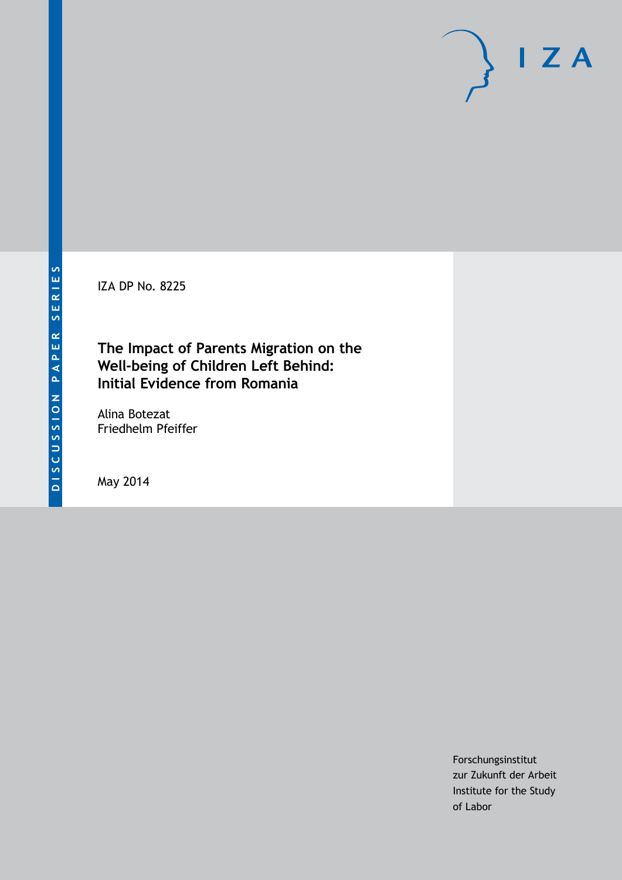IZA DP No. 8225

## **The Impact of Parents Migration on the Well-being of Children Left Behind: Initial Evidence from Romania**

Alina Botezat Friedhelm Pfeiffer

May 2014

Forschungsinstitut zur Zukunft der Arbeit Institute for the Study of Labor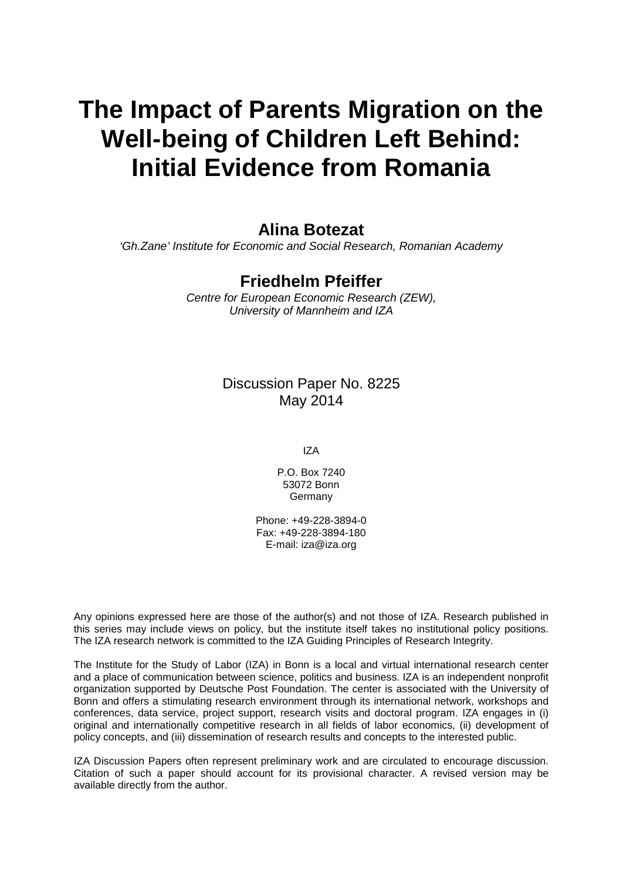# **The Impact of Parents Migration on the Well-being of Children Left Behind: Initial Evidence from Romania**

### **Alina Botezat**

*'Gh.Zane' Institute for Economic and Social Research, Romanian Academy*

### **Friedhelm Pfeiffer**

*Centre for European Economic Research (ZEW), University of Mannheim and IZA*

### Discussion Paper No. 8225 May 2014

IZA

P.O. Box 7240 53072 Bonn **Germany** 

Phone: +49-228-3894-0 Fax: +49-228-3894-180 E-mail: [iza@iza.org](mailto:iza@iza.org)

Any opinions expressed here are those of the author(s) and not those of IZA. Research published in this series may include views on policy, but the institute itself takes no institutional policy positions. The IZA research network is committed to the IZA Guiding Principles of Research Integrity.

The Institute for the Study of Labor (IZA) in Bonn is a local and virtual international research center and a place of communication between science, politics and business. IZA is an independent nonprofit organization supported by Deutsche Post Foundation. The center is associated with the University of Bonn and offers a stimulating research environment through its international network, workshops and conferences, data service, project support, research visits and doctoral program. IZA engages in (i) original and internationally competitive research in all fields of labor economics, (ii) development of policy concepts, and (iii) dissemination of research results and concepts to the interested public.

<span id="page-1-0"></span>IZA Discussion Papers often represent preliminary work and are circulated to encourage discussion. Citation of such a paper should account for its provisional character. A revised version may be available directly from the author.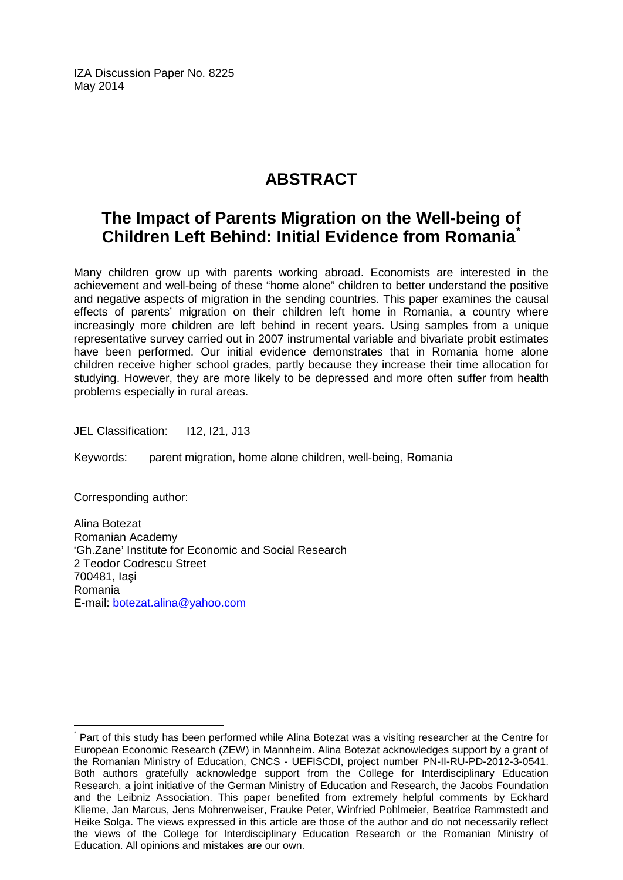IZA Discussion Paper No. 8225 May 2014

# **ABSTRACT**

# **The Impact of Parents Migration on the Well-being of Children Left Behind: Initial Evidence from Romania[\\*](#page-1-0)**

Many children grow up with parents working abroad. Economists are interested in the achievement and well-being of these "home alone" children to better understand the positive and negative aspects of migration in the sending countries. This paper examines the causal effects of parents' migration on their children left home in Romania, a country where increasingly more children are left behind in recent years. Using samples from a unique representative survey carried out in 2007 instrumental variable and bivariate probit estimates have been performed. Our initial evidence demonstrates that in Romania home alone children receive higher school grades, partly because they increase their time allocation for studying. However, they are more likely to be depressed and more often suffer from health problems especially in rural areas.

JEL Classification: I12, I21, J13

Keywords: parent migration, home alone children, well-being, Romania

Corresponding author:

Alina Botezat Romanian Academy 'Gh.Zane' Institute for Economic and Social Research 2 Teodor Codrescu Street 700481, Iaşi Romania E-mail: [botezat.alina@yahoo.com](mailto:botezat.alina@yahoo.com)

Part of this study has been performed while Alina Botezat was a visiting researcher at the Centre for European Economic Research (ZEW) in Mannheim. Alina Botezat acknowledges support by a grant of the Romanian Ministry of Education, CNCS - UEFISCDI, project number PN-II-RU-PD-2012-3-0541. Both authors gratefully acknowledge support from the College for Interdisciplinary Education Research, a joint initiative of the German Ministry of Education and Research, the Jacobs Foundation and the Leibniz Association. This paper benefited from extremely helpful comments by Eckhard Klieme, Jan Marcus, Jens Mohrenweiser, Frauke Peter, Winfried Pohlmeier, Beatrice Rammstedt and Heike Solga. The views expressed in this article are those of the author and do not necessarily reflect the views of the College for Interdisciplinary Education Research or the Romanian Ministry of Education. All opinions and mistakes are our own.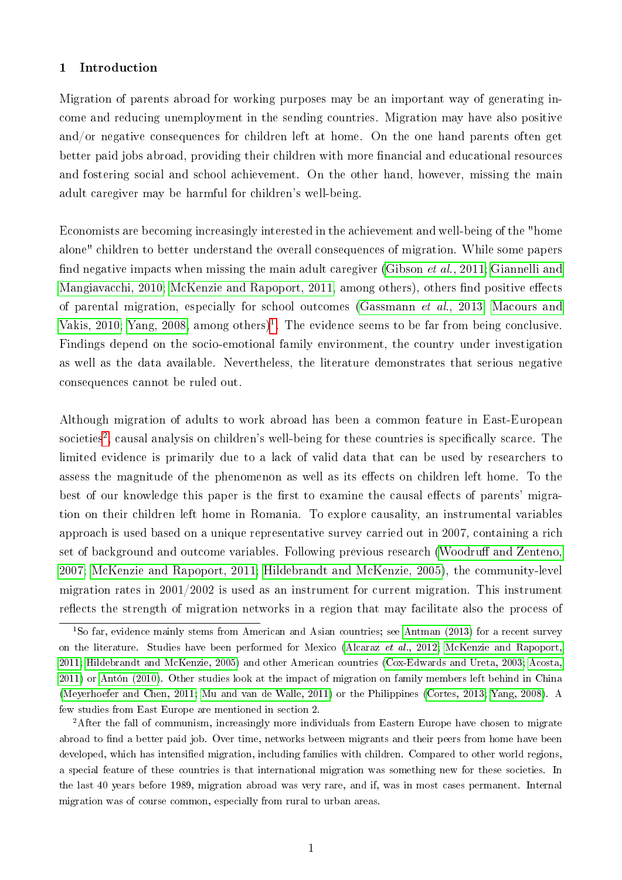#### 1 Introduction

Migration of parents abroad for working purposes may be an important way of generating income and reducing unemployment in the sending countries. Migration may have also positive and/or negative consequences for children left at home. On the one hand parents often get better paid jobs abroad, providing their children with more financial and educational resources and fostering social and school achievement. On the other hand, however, missing the main adult caregiver may be harmful for children's well-being.

Economists are becoming increasingly interested in the achievement and well-being of the "home alone" children to better understand the overall consequences of migration. While some papers find negative impacts when missing the main adult caregiver (Gibson *et al.*, 2011; [Giannelli and](#page-17-1) [Mangiavacchi, 2010;](#page-17-1) [McKenzie and Rapoport, 2011,](#page-17-2) among others), others find positive effects of parental migration, especially for school outcomes (Gassmann [et al., 2013;](#page-17-3) [Macours and](#page-17-4) [Vakis, 2010;](#page-17-4) [Yang, 2008,](#page-19-0) among others)<sup>[1](#page-3-0)</sup>. The evidence seems to be far from being conclusive. Findings depend on the socio-emotional family environment, the country under investigation as well as the data available. Nevertheless, the literature demonstrates that serious negative consequences cannot be ruled out.

Although migration of adults to work abroad has been a common feature in East-European societies $^2$  $^2$ , causal analysis on children's well-being for these countries is specifically scarce. The limited evidence is primarily due to a lack of valid data that can be used by researchers to assess the magnitude of the phenomenon as well as its effects on children left home. To the best of our knowledge this paper is the first to examine the causal effects of parents' migration on their children left home in Romania. To explore causality, an instrumental variables approach is used based on a unique representative survey carried out in 2007, containing a rich set of background and outcome variables. Following previous research (Woodruff and Zenteno, [2007;](#page-19-1) [McKenzie and Rapoport, 2011;](#page-17-2) [Hildebrandt and McKenzie, 2005\)](#page-17-5), the community-level migration rates in 2001/2002 is used as an instrument for current migration. This instrument reflects the strength of migration networks in a region that may facilitate also the process of

<span id="page-3-0"></span><sup>1</sup>So far, evidence mainly stems from American and Asian countries; see [Antman \(2013\)](#page-16-0) for a recent survey on the literature. Studies have been performed for Mexico (Alcaraz [et al., 2012;](#page-16-1) [McKenzie and Rapoport,](#page-17-2) [2011;](#page-17-2) [Hildebrandt and McKenzie, 2005\)](#page-17-5) and other American countries [\(Cox-Edwards and Ureta, 2003;](#page-16-2) [Acosta,](#page-16-3) [2011\)](#page-16-3) or [Antón \(2010\)](#page-16-4). Other studies look at the impact of migration on family members left behind in China [\(Meyerhoefer and Chen, 2011;](#page-18-0) [Mu and van de Walle, 2011\)](#page-18-1) or the Philippines [\(Cortes, 2013;](#page-16-5) [Yang, 2008\)](#page-19-0). A few studies from East Europe are mentioned in section 2.

<span id="page-3-1"></span><sup>&</sup>lt;sup>2</sup>After the fall of communism, increasingly more individuals from Eastern Europe have chosen to migrate abroad to find a better paid job. Over time, networks between migrants and their peers from home have been developed, which has intensified migration, including families with children. Compared to other world regions, a special feature of these countries is that international migration was something new for these societies. In the last 40 years before 1989, migration abroad was very rare, and if, was in most cases permanent. Internal migration was of course common, especially from rural to urban areas.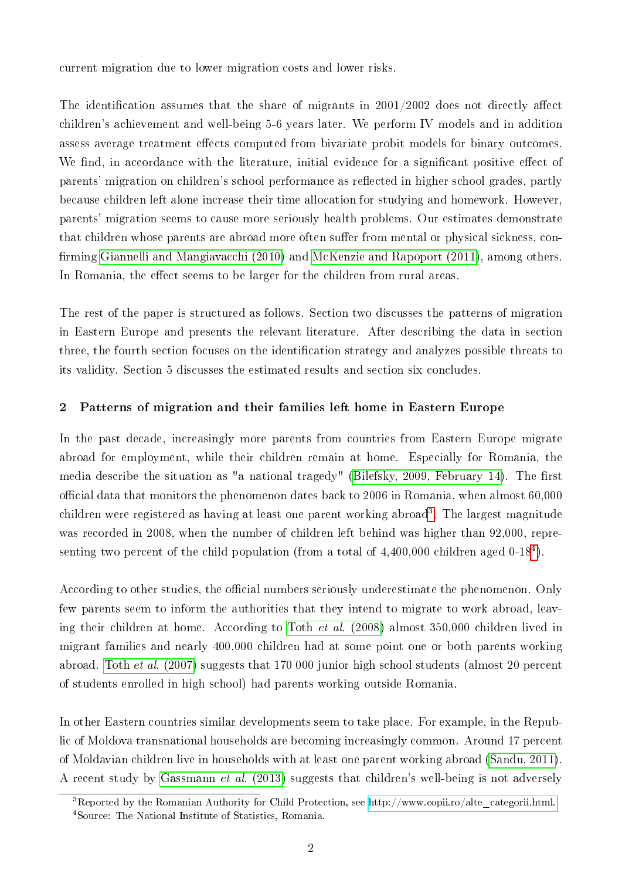current migration due to lower migration costs and lower risks.

The identification assumes that the share of migrants in  $2001/2002$  does not directly affect children's achievement and well-being 5-6 years later. We perform IV models and in addition assess average treatment effects computed from bivariate probit models for binary outcomes. We find, in accordance with the literature, initial evidence for a significant positive effect of parents' migration on children's school performance as reflected in higher school grades, partly because children left alone increase their time allocation for studying and homework. However, parents' migration seems to cause more seriously health problems. Our estimates demonstrate that children whose parents are abroad more often suffer from mental or physical sickness, con-firming [Giannelli and Mangiavacchi \(2010\)](#page-17-1) and [McKenzie and Rapoport \(2011\)](#page-17-2), among others. In Romania, the effect seems to be larger for the children from rural areas.

The rest of the paper is structured as follows. Section two discusses the patterns of migration in Eastern Europe and presents the relevant literature. After describing the data in section three, the fourth section focuses on the identification strategy and analyzes possible threats to its validity. Section 5 discusses the estimated results and section six concludes.

#### 2 Patterns of migration and their families left home in Eastern Europe

In the past decade, increasingly more parents from countries from Eastern Europe migrate abroad for employment, while their children remain at home. Especially for Romania, the media describe the situation as "a national tragedy" [\(Bilefsky, 2009, February 14\)](#page-16-6). The first ocial data that monitors the phenomenon dates back to 2006 in Romania, when almost 60,000 children were registered as having at least one parent working abroad<sup>[3](#page-4-0)</sup>. The largest magnitude was recorded in 2008, when the number of children left behind was higher than 92,000, representing two percent of the child population (from a total of  $4,400,000$  $4,400,000$  children aged 0-18<sup>4</sup>).

According to other studies, the official numbers seriously underestimate the phenomenon. Only few parents seem to inform the authorities that they intend to migrate to work abroad, leaving their children at home. According to Toth et al. [\(2008\)](#page-18-2) almost 350,000 children lived in migrant families and nearly 400,000 children had at some point one or both parents working abroad. Toth *et al.* [\(2007\)](#page-18-3) suggests that 170 000 junior high school students (almost 20 percent of students enrolled in high school) had parents working outside Romania.

In other Eastern countries similar developments seem to take place. For example, in the Republic of Moldova transnational households are becoming increasingly common. Around 17 percent of Moldavian children live in households with at least one parent working abroad [\(Sandu, 2011\)](#page-18-4). A recent study by [Gassmann](#page-17-3) et al. (2013) suggests that children's well-being is not adversely

<span id="page-4-1"></span><span id="page-4-0"></span><sup>&</sup>lt;sup>3</sup>Reported by the Romanian Authority for Child Protection, see [http://www.copii.ro/alte\\_categorii.html.](http://www.copii.ro/alte_categorii.html.) <sup>4</sup>Source: The National Institute of Statistics, Romania.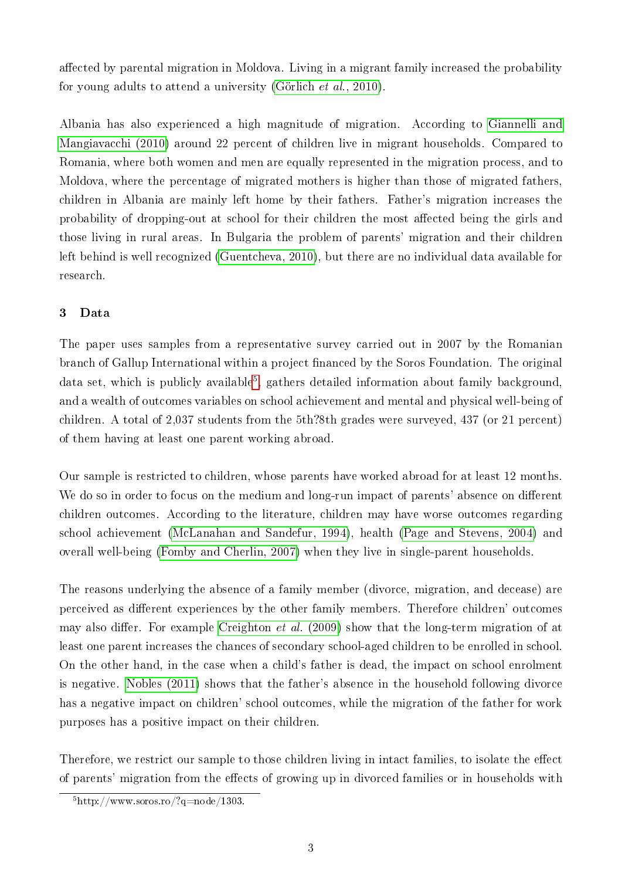affected by parental migration in Moldova. Living in a migrant family increased the probability for young adults to attend a university (Görlich [et al., 2010\)](#page-17-6).

Albania has also experienced a high magnitude of migration. According to [Giannelli and](#page-17-1) [Mangiavacchi \(2010\)](#page-17-1) around 22 percent of children live in migrant households. Compared to Romania, where both women and men are equally represented in the migration process, and to Moldova, where the percentage of migrated mothers is higher than those of migrated fathers, children in Albania are mainly left home by their fathers. Father's migration increases the probability of dropping-out at school for their children the most affected being the girls and those living in rural areas. In Bulgaria the problem of parents' migration and their children left behind is well recognized [\(Guentcheva, 2010\)](#page-17-7), but there are no individual data available for research.

### 3 Data

The paper uses samples from a representative survey carried out in 2007 by the Romanian branch of Gallup International within a project financed by the Soros Foundation. The original data set, which is publicly available<sup>[5](#page-5-0)</sup>, gathers detailed information about family background, and a wealth of outcomes variables on school achievement and mental and physical well-being of children. A total of 2,037 students from the 5th?8th grades were surveyed, 437 (or 21 percent) of them having at least one parent working abroad.

Our sample is restricted to children, whose parents have worked abroad for at least 12 months. We do so in order to focus on the medium and long-run impact of parents' absence on different children outcomes. According to the literature, children may have worse outcomes regarding school achievement [\(McLanahan and Sandefur, 1994\)](#page-18-5), health [\(Page and Stevens, 2004\)](#page-18-6) and overall well-being [\(Fomby and Cherlin, 2007\)](#page-17-8) when they live in single-parent households.

The reasons underlying the absence of a family member (divorce, migration, and decease) are perceived as different experiences by the other family members. Therefore children' outcomes may also differ. For example [Creighton](#page-16-7) *et al.* (2009) show that the long-term migration of at least one parent increases the chances of secondary school-aged children to be enrolled in school. On the other hand, in the case when a child's father is dead, the impact on school enrolment is negative. [Nobles \(2011\)](#page-18-7) shows that the father's absence in the household following divorce has a negative impact on children' school outcomes, while the migration of the father for work purposes has a positive impact on their children.

Therefore, we restrict our sample to those children living in intact families, to isolate the effect of parents' migration from the effects of growing up in divorced families or in households with

<span id="page-5-0"></span> $5$ http://www.soros.ro/?q=node/1303.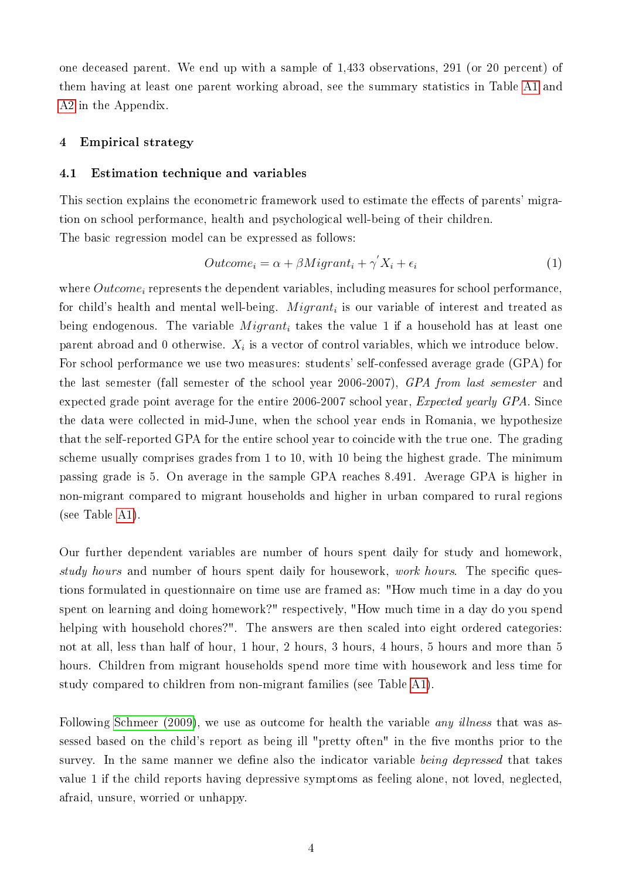one deceased parent. We end up with a sample of 1,433 observations, 291 (or 20 percent) of them having at least one parent working abroad, see the summary statistics in Table [A1](#page-20-0) and [A2](#page-21-0) in the Appendix.

#### 4 Empirical strategy

#### 4.1 Estimation technique and variables

This section explains the econometric framework used to estimate the effects of parents' migration on school performance, health and psychological well-being of their children. The basic regression model can be expressed as follows:

<span id="page-6-0"></span>
$$
Outcome_i = \alpha + \beta Migrant_i + \gamma' X_i + \epsilon_i \tag{1}
$$

where  $Outcome_i$  represents the dependent variables, including measures for school performance. for child's health and mental well-being.  $\it{Migrant}_i$  is our variable of interest and treated as being endogenous. The variable  $Migrant_i$  takes the value 1 if a household has at least one parent abroad and 0 otherwise.  $X_i$  is a vector of control variables, which we introduce below. For school performance we use two measures: students' self-confessed average grade (GPA) for the last semester (fall semester of the school year 2006-2007), GPA from last semester and expected grade point average for the entire 2006-2007 school year, Expected yearly GPA. Since the data were collected in mid-June, when the school year ends in Romania, we hypothesize that the self-reported GPA for the entire school year to coincide with the true one. The grading scheme usually comprises grades from 1 to 10, with 10 being the highest grade. The minimum passing grade is 5. On average in the sample GPA reaches 8.491. Average GPA is higher in non-migrant compared to migrant households and higher in urban compared to rural regions (see Table [A1\)](#page-20-0).

Our further dependent variables are number of hours spent daily for study and homework, study hours and number of hours spent daily for housework, work hours. The specific questions formulated in questionnaire on time use are framed as: "How much time in a day do you spent on learning and doing homework?" respectively, "How much time in a day do you spend helping with household chores?". The answers are then scaled into eight ordered categories: not at all, less than half of hour, 1 hour, 2 hours, 3 hours, 4 hours, 5 hours and more than 5 hours. Children from migrant households spend more time with housework and less time for study compared to children from non-migrant families (see Table [A1\)](#page-20-0).

Following [Schmeer \(2009\)](#page-18-8), we use as outcome for health the variable *any illness* that was assessed based on the child's report as being ill "pretty often" in the five months prior to the survey. In the same manner we define also the indicator variable being depressed that takes value 1 if the child reports having depressive symptoms as feeling alone, not loved, neglected, afraid, unsure, worried or unhappy.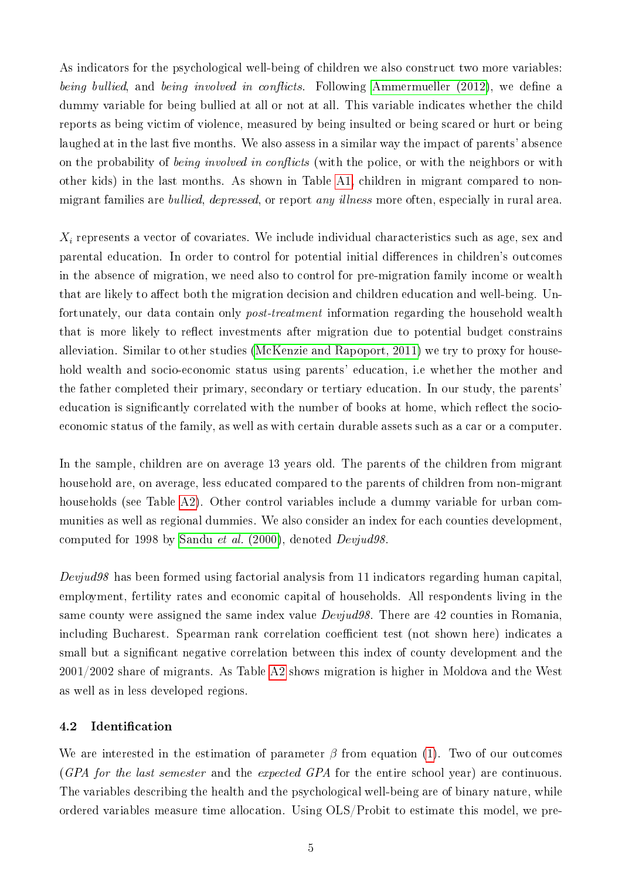As indicators for the psychological well-being of children we also construct two more variables: being bullied, and being involved in conflicts. Following [Ammermueller \(2012\)](#page-16-8), we define a dummy variable for being bullied at all or not at all. This variable indicates whether the child reports as being victim of violence, measured by being insulted or being scared or hurt or being laughed at in the last five months. We also assess in a similar way the impact of parents' absence on the probability of *being involved in conflicts* (with the police, or with the neighbors or with other kids) in the last months. As shown in Table [A1,](#page-20-0) children in migrant compared to nonmigrant families are bullied, depressed, or report any illness more often, especially in rural area.

 $X_i$  represents a vector of covariates. We include individual characteristics such as age, sex and parental education. In order to control for potential initial differences in children's outcomes in the absence of migration, we need also to control for pre-migration family income or wealth that are likely to affect both the migration decision and children education and well-being. Unfortunately, our data contain only post-treatment information regarding the household wealth that is more likely to reflect investments after migration due to potential budget constrains alleviation. Similar to other studies [\(McKenzie and Rapoport, 2011\)](#page-17-2) we try to proxy for household wealth and socio-economic status using parents' education, i.e whether the mother and the father completed their primary, secondary or tertiary education. In our study, the parents' education is significantly correlated with the number of books at home, which reflect the socioeconomic status of the family, as well as with certain durable assets such as a car or a computer.

In the sample, children are on average 13 years old. The parents of the children from migrant household are, on average, less educated compared to the parents of children from non-migrant households (see Table [A2\)](#page-21-0). Other control variables include a dummy variable for urban communities as well as regional dummies. We also consider an index for each counties development, computed for 1998 by [Sandu](#page-18-9) et al. (2000), denoted Devjud98.

 $Devjud98$  has been formed using factorial analysis from 11 indicators regarding human capital. employment, fertility rates and economic capital of households. All respondents living in the same county were assigned the same index value *Devjud98*. There are 42 counties in Romania. including Bucharest. Spearman rank correlation coefficient test (not shown here) indicates a small but a signicant negative correlation between this index of county development and the 2001/2002 share of migrants. As Table [A2](#page-21-0) shows migration is higher in Moldova and the West as well as in less developed regions.

#### 4.2 Identification

We are interested in the estimation of parameter  $\beta$  from equation [\(1\)](#page-6-0). Two of our outcomes (GPA for the last semester and the expected GPA for the entire school year) are continuous. The variables describing the health and the psychological well-being are of binary nature, while ordered variables measure time allocation. Using OLS/Probit to estimate this model, we pre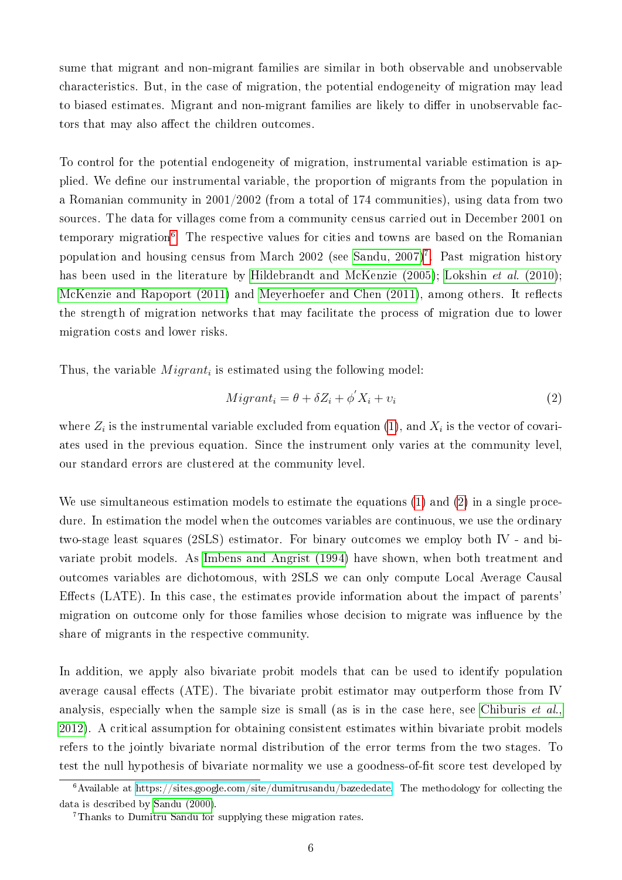sume that migrant and non-migrant families are similar in both observable and unobservable characteristics. But, in the case of migration, the potential endogeneity of migration may lead to biased estimates. Migrant and non-migrant families are likely to differ in unobservable factors that may also affect the children outcomes.

To control for the potential endogeneity of migration, instrumental variable estimation is applied. We define our instrumental variable, the proportion of migrants from the population in a Romanian community in 2001/2002 (from a total of 174 communities), using data from two sources. The data for villages come from a community census carried out in December 2001 on temporary migration<sup>[6](#page-8-0)</sup>. The respective values for cities and towns are based on the Romanian population and housing census from March 2002 (see [Sandu, 2007\)](#page-18-10)<sup>[7](#page-8-1)</sup>. Past migration history has been used in the literature by [Hildebrandt and McKenzie \(2005\)](#page-17-5); [Lokshin](#page-17-9) *et al.* (2010); [McKenzie and Rapoport \(2011\)](#page-17-2) and [Meyerhoefer and Chen \(2011\)](#page-18-0), among others. It reflects the strength of migration networks that may facilitate the process of migration due to lower migration costs and lower risks.

Thus, the variable  $Migrant_i$  is estimated using the following model:

<span id="page-8-2"></span>
$$
Migrant_i = \theta + \delta Z_i + \phi' X_i + \upsilon_i \tag{2}
$$

where  $Z_i$  is the instrumental variable excluded from equation [\(1\)](#page-6-0), and  $X_i$  is the vector of covariates used in the previous equation. Since the instrument only varies at the community level, our standard errors are clustered at the community level.

We use simultaneous estimation models to estimate the equations [\(1\)](#page-6-0) and [\(2\)](#page-8-2) in a single procedure. In estimation the model when the outcomes variables are continuous, we use the ordinary two-stage least squares (2SLS) estimator. For binary outcomes we employ both IV - and bivariate probit models. As [Imbens and Angrist \(1994\)](#page-17-10) have shown, when both treatment and outcomes variables are dichotomous, with 2SLS we can only compute Local Average Causal Effects (LATE). In this case, the estimates provide information about the impact of parents' migration on outcome only for those families whose decision to migrate was influence by the share of migrants in the respective community.

In addition, we apply also bivariate probit models that can be used to identify population average causal effects (ATE). The bivariate probit estimator may outperform those from IV analysis, especially when the sample size is small (as is in the case here, see [Chiburis](#page-16-9) *et al.*, [2012\)](#page-16-9). A critical assumption for obtaining consistent estimates within bivariate probit models refers to the jointly bivariate normal distribution of the error terms from the two stages. To test the null hypothesis of bivariate normality we use a goodness-of-fit score test developed by

<span id="page-8-0"></span> $6$ Available at [https://sites.google.com/site/dumitrusandu/bazededate.](https://sites.google.com/site/dumitrusandu/bazededate) The methodology for collecting the data is described by [Sandu \(2000\)](#page-18-11).

<span id="page-8-1"></span><sup>7</sup>Thanks to Dumitru Sandu for supplying these migration rates.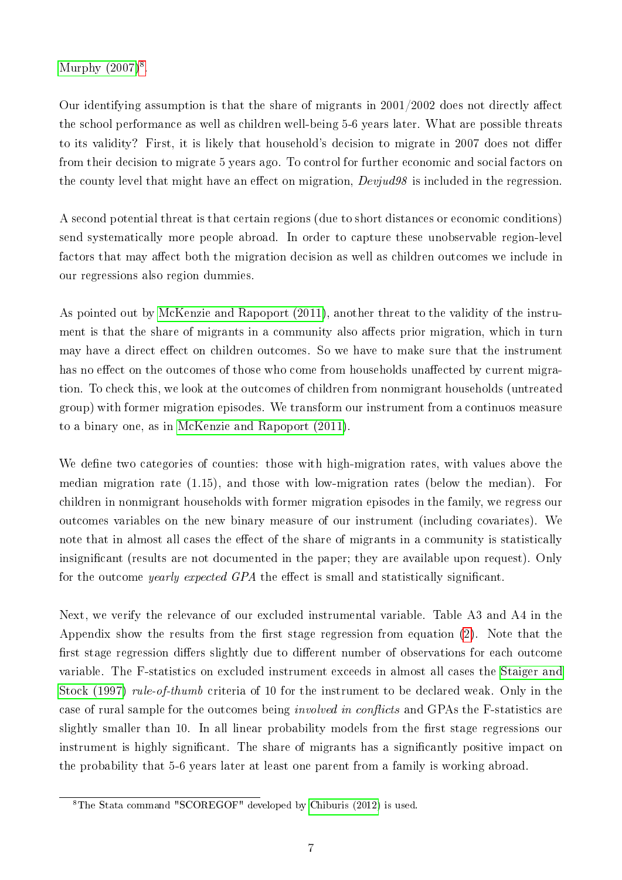Murphy  $(2007)^8$  $(2007)^8$ .

Our identifying assumption is that the share of migrants in  $2001/2002$  does not directly affect the school performance as well as children well-being 5-6 years later. What are possible threats to its validity? First, it is likely that household's decision to migrate in 2007 does not differ from their decision to migrate 5 years ago. To control for further economic and social factors on the county level that might have an effect on migration,  $Devjud98$  is included in the regression.

A second potential threat is that certain regions (due to short distances or economic conditions) send systematically more people abroad. In order to capture these unobservable region-level factors that may affect both the migration decision as well as children outcomes we include in our regressions also region dummies.

As pointed out by [McKenzie and Rapoport \(2011\)](#page-17-2), another threat to the validity of the instrument is that the share of migrants in a community also affects prior migration, which in turn may have a direct effect on children outcomes. So we have to make sure that the instrument has no effect on the outcomes of those who come from households unaffected by current migration. To check this, we look at the outcomes of children from nonmigrant households (untreated group) with former migration episodes. We transform our instrument from a continuos measure to a binary one, as in [McKenzie and Rapoport \(2011\)](#page-17-2).

We define two categories of counties: those with high-migration rates, with values above the median migration rate (1.15), and those with low-migration rates (below the median). For children in nonmigrant households with former migration episodes in the family, we regress our outcomes variables on the new binary measure of our instrument (including covariates). We note that in almost all cases the effect of the share of migrants in a community is statistically insignicant (results are not documented in the paper; they are available upon request). Only for the outcome *yearly expected GPA* the effect is small and statistically significant.

Next, we verify the relevance of our excluded instrumental variable. Table A3 and A4 in the Appendix show the results from the first stage regression from equation  $(2)$ . Note that the first stage regression differs slightly due to different number of observations for each outcome variable. The F-statistics on excluded instrument exceeds in almost all cases the [Staiger and](#page-18-13) [Stock \(1997\)](#page-18-13) rule-of-thumb criteria of 10 for the instrument to be declared weak. Only in the case of rural sample for the outcomes being *involved in conflicts* and GPAs the F-statistics are slightly smaller than 10. In all linear probability models from the first stage regressions our instrument is highly significant. The share of migrants has a significantly positive impact on the probability that 5-6 years later at least one parent from a family is working abroad.

<span id="page-9-0"></span><sup>8</sup>The Stata command "SCOREGOF" developed by [Chiburis \(2012\)](#page-16-10) is used.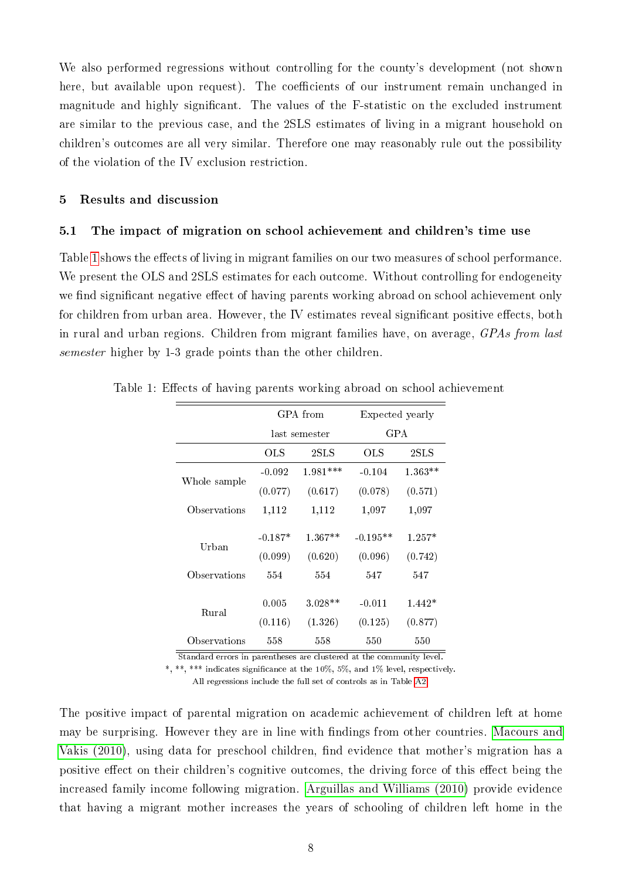We also performed regressions without controlling for the county's development (not shown here, but available upon request). The coefficients of our instrument remain unchanged in magnitude and highly significant. The values of the F-statistic on the excluded instrument are similar to the previous case, and the 2SLS estimates of living in a migrant household on children's outcomes are all very similar. Therefore one may reasonably rule out the possibility of the violation of the IV exclusion restriction.

#### 5 Results and discussion

#### 5.1 The impact of migration on school achievement and children's time use

Table [1](#page-10-0) shows the effects of living in migrant families on our two measures of school performance. We present the OLS and 2SLS estimates for each outcome. Without controlling for endogeneity we find significant negative effect of having parents working abroad on school achievement only for children from urban area. However, the IV estimates reveal significant positive effects, both in rural and urban regions. Children from migrant families have, on average, GPAs from last semester higher by 1-3 grade points than the other children.

<span id="page-10-0"></span>

|              |                      | GPA from                          | Expected yearly       |                                   |  |  |
|--------------|----------------------|-----------------------------------|-----------------------|-----------------------------------|--|--|
|              |                      | last semester                     | <b>GPA</b>            |                                   |  |  |
|              | OLS                  | $2\mathrm{S}\mathrm{L}\mathrm{S}$ | OLS                   | $2\mathrm{S}\mathrm{L}\mathrm{S}$ |  |  |
|              | $-0.092$             | $1.981***$                        | $-0.104$              | $1.363**$                         |  |  |
| Whole sample | (0.077)              | (0.617)                           | (0.078)               | (0.571)                           |  |  |
| Observations | 1,112                | 1,112                             | 1,097                 | 1,097                             |  |  |
| Urban        | $-0.187*$<br>(0.099) | $1.367**$<br>(0.620)              | $-0.195**$<br>(0.096) | $1.257*$<br>(0.742)               |  |  |
| Observations | 554                  | 554                               | 547                   | 547                               |  |  |
| Rural        | 0.005                | $3.028**$                         | $-0.011$              | $1.442*$                          |  |  |
|              | (0.116)              | (1.326)                           | (0.125)               | (0.877)                           |  |  |
| Observations | 558                  | 558                               | 550                   | 550                               |  |  |

Table 1: Effects of having parents working abroad on school achievement

Standard errors in parentheses are clustered at the community level.

\*, \*\*, \*\*\* indicates signicance at the 10%, 5%, and 1% level, respectively.

All regressions include the full set of controls as in Table [A2.](#page-21-0)

The positive impact of parental migration on academic achievement of children left at home may be surprising. However they are in line with findings from other countries. [Macours and](#page-17-4) Vakis  $(2010)$ , using data for preschool children, find evidence that mother's migration has a positive effect on their children's cognitive outcomes, the driving force of this effect being the increased family income following migration. [Arguillas and Williams \(2010\)](#page-16-11) provide evidence that having a migrant mother increases the years of schooling of children left home in the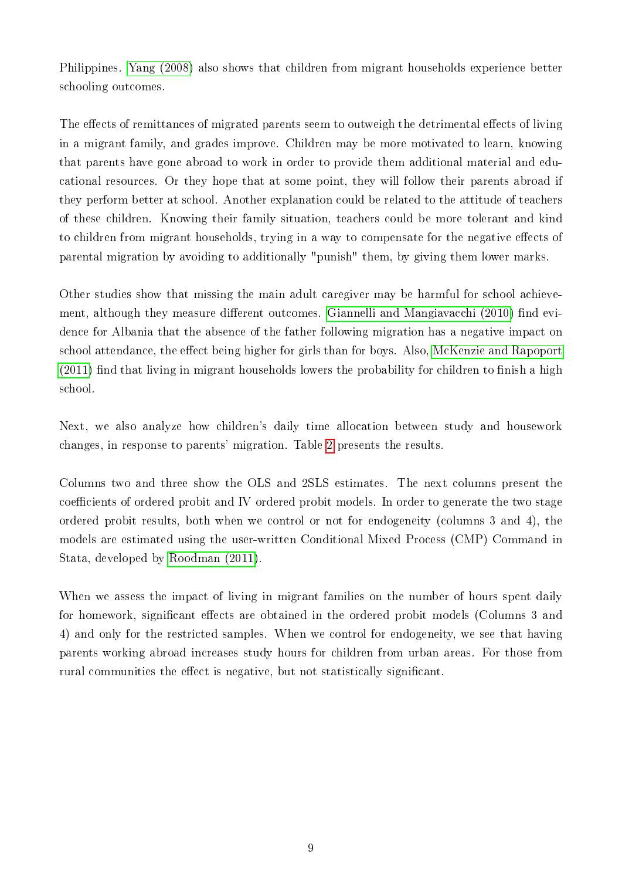Philippines. [Yang \(2008\)](#page-19-0) also shows that children from migrant households experience better schooling outcomes.

The effects of remittances of migrated parents seem to outweigh the detrimental effects of living in a migrant family, and grades improve. Children may be more motivated to learn, knowing that parents have gone abroad to work in order to provide them additional material and educational resources. Or they hope that at some point, they will follow their parents abroad if they perform better at school. Another explanation could be related to the attitude of teachers of these children. Knowing their family situation, teachers could be more tolerant and kind to children from migrant households, trying in a way to compensate for the negative effects of parental migration by avoiding to additionally "punish" them, by giving them lower marks.

Other studies show that missing the main adult caregiver may be harmful for school achieve-ment, although they measure different outcomes. [Giannelli and Mangiavacchi \(2010\)](#page-17-1) find evidence for Albania that the absence of the father following migration has a negative impact on school attendance, the effect being higher for girls than for boys. Also, [McKenzie and Rapoport](#page-17-2)  $(2011)$  find that living in migrant households lowers the probability for children to finish a high school.

Next, we also analyze how children's daily time allocation between study and housework changes, in response to parents' migration. Table [2](#page-12-0) presents the results.

Columns two and three show the OLS and 2SLS estimates. The next columns present the coefficients of ordered probit and IV ordered probit models. In order to generate the two stage ordered probit results, both when we control or not for endogeneity (columns 3 and 4), the models are estimated using the user-written Conditional Mixed Process (CMP) Command in Stata, developed by [Roodman \(2011\)](#page-18-14).

When we assess the impact of living in migrant families on the number of hours spent daily for homework, significant effects are obtained in the ordered probit models (Columns 3 and 4) and only for the restricted samples. When we control for endogeneity, we see that having parents working abroad increases study hours for children from urban areas. For those from rural communities the effect is negative, but not statistically significant.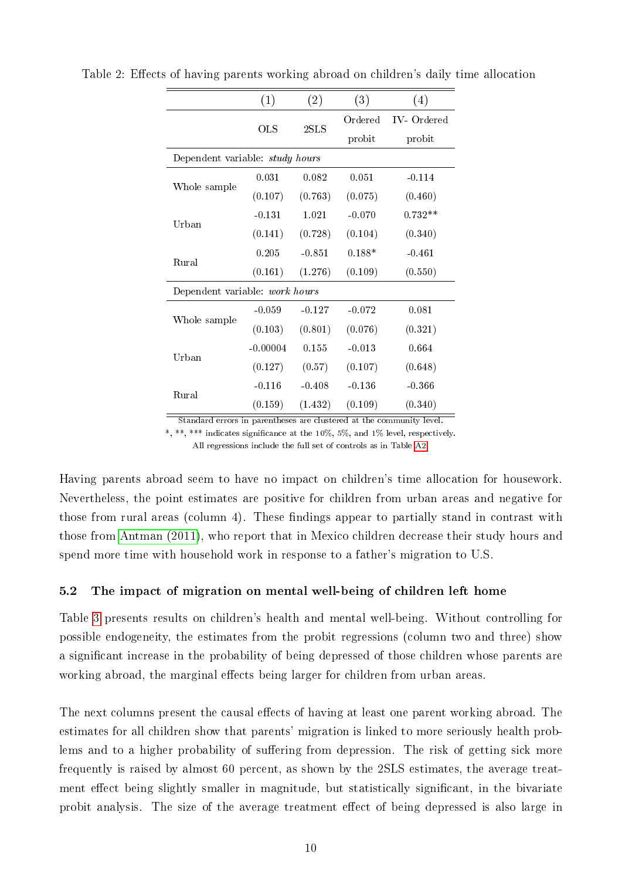<span id="page-12-0"></span>

|                                        | (1)        | (2)      | (3)      | (4)        |
|----------------------------------------|------------|----------|----------|------------|
|                                        | <b>OLS</b> | 2SLS     | Ordered  | IV-Ordered |
|                                        |            |          | probit   | probit     |
| Dependent variable: <i>study hours</i> |            |          |          |            |
|                                        | 0.031      | 0.082    | 0.051    | $-0.114$   |
| Whole sample                           | (0.107)    | (0.763)  | (0.075)  | (0.460)    |
| Urban                                  | $-0.131$   | 1.021    | $-0.070$ | $0.732**$  |
|                                        | (0.141)    | (0.728)  | (0.104)  | (0.340)    |
| Rural                                  | 0.205      | $-0.851$ | $0.188*$ | $-0.461$   |
|                                        | (0.161)    | (1.276)  | (0.109)  | (0.550)    |
| Dependent variable: work hours         |            |          |          |            |
|                                        | $-0.059$   | $-0.127$ | $-0.072$ | 0.081      |
| Whole sample                           | (0.103)    | (0.801)  | (0.076)  | (0.321)    |
| Urban                                  | $-0.00004$ | 0.155    | $-0.013$ | 0.664      |
|                                        | (0.127)    | (0.57)   | (0.107)  | (0.648)    |
|                                        | $-0.116$   | $-0.408$ | $-0.136$ | $-0.366$   |
| Rural                                  | (0.159)    | (1.432)  | (0.109)  | (0.340)    |

Table 2: Effects of having parents working abroad on children's daily time allocation

Standard errors in parentheses are clustered at the community level.

\*, \*\*, \*\*\* indicates signicance at the 10%, 5%, and 1% level, respectively.

All regressions include the full set of controls as in Table [A2.](#page-21-0)

Having parents abroad seem to have no impact on children's time allocation for housework. Nevertheless, the point estimates are positive for children from urban areas and negative for those from rural areas (column 4). These findings appear to partially stand in contrast with those from [Antman \(2011\)](#page-16-12), who report that in Mexico children decrease their study hours and spend more time with household work in response to a father's migration to U.S.

#### 5.2 The impact of migration on mental well-being of children left home

Table [3](#page-13-0) presents results on children's health and mental well-being. Without controlling for possible endogeneity, the estimates from the probit regressions (column two and three) show a significant increase in the probability of being depressed of those children whose parents are working abroad, the marginal effects being larger for children from urban areas.

The next columns present the causal effects of having at least one parent working abroad. The estimates for all children show that parents' migration is linked to more seriously health problems and to a higher probability of suffering from depression. The risk of getting sick more frequently is raised by almost 60 percent, as shown by the 2SLS estimates, the average treatment effect being slightly smaller in magnitude, but statistically significant, in the bivariate probit analysis. The size of the average treatment effect of being depressed is also large in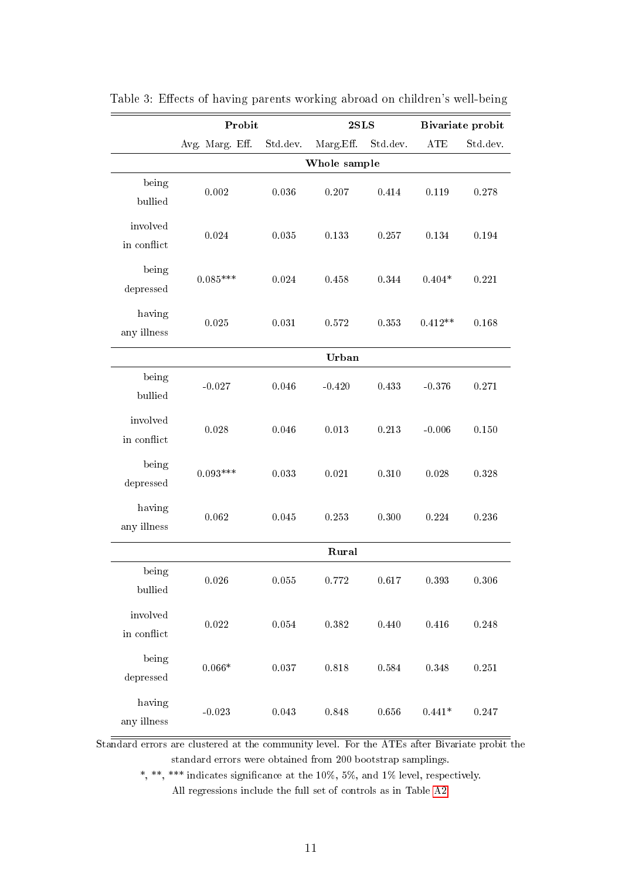|                         | Probit          |           | 2SLS         |           |            | Bivariate probit |
|-------------------------|-----------------|-----------|--------------|-----------|------------|------------------|
|                         | Avg. Marg. Eff. | Std dev.  | Marg Eff.    | Std.dev.  | <b>ATE</b> | Std.dev.         |
|                         |                 |           | Whole sample |           |            |                  |
| being<br>bullied        | $0.002\,$       | 0.036     | 0.207        | 0.414     | 0.119      | 0.278            |
| involved<br>in conflict | 0.024           | 0.035     | 0.133        | 0.257     | 0.134      | 0.194            |
| being<br>depressed      | $0.085***$      | 0.024     | 0.458        | 0.344     | $0.404*$   | 0.221            |
| having<br>any illness   | $0.025\,$       | 0.031     | 0.572        | 0.353     | $0.412**$  | 0.168            |
|                         |                 |           | Urban        |           |            |                  |
| being<br>bullied        | $-0.027$        | 0.046     | $-0.420$     | 0.433     | $-0.376$   | 0.271            |
| involved<br>in conflict | 0.028           | 0.046     | $0.013\,$    | 0.213     | $-0.006$   | 0.150            |
| being<br>depressed      | $0.093***$      | 0.033     | $\,0.021\,$  | 0.310     | 0.028      | 0.328            |
| having<br>any illness   | 0.062           | 0.045     | 0.253        | 0.300     | 0.224      | 0.236            |
|                         |                 |           | Rural        |           |            |                  |
| being<br>bullied        | 0.026           | 0.055     | 0.772        | 0.617     | 0.393      | 0.306            |
| involved<br>in conflict | $0.022\,$       | $0.054\,$ | $0.382\,$    | $0.440\,$ | $0.416\,$  | 0.248            |
| being<br>depressed      | $0.066*$        | $0.037\,$ | $0.818\,$    | 0.584     | $0.348\,$  | $0.251\,$        |
| having<br>any illness   | $-0.023$        | $0.043\,$ | 0.848        | 0.656     | $0.441*$   | 0.247            |

<span id="page-13-0"></span>Table 3: Effects of having parents working abroad on children's well-being

Standard errors are clustered at the community level. For the ATEs after Bivariate probit the standard errors were obtained from 200 bootstrap samplings.

\*, \*\*\* indicates significance at the 10%, 5%, and 1% level, respectively.

All regressions include the full set of controls as in Table [A2.](#page-21-0)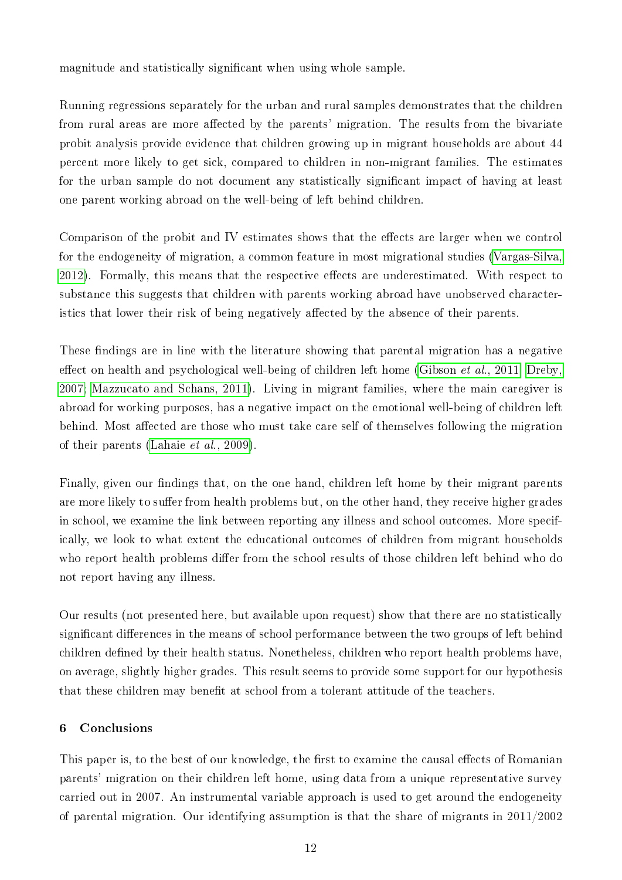magnitude and statistically significant when using whole sample.

Running regressions separately for the urban and rural samples demonstrates that the children from rural areas are more affected by the parents' migration. The results from the bivariate probit analysis provide evidence that children growing up in migrant households are about 44 percent more likely to get sick, compared to children in non-migrant families. The estimates for the urban sample do not document any statistically signicant impact of having at least one parent working abroad on the well-being of left behind children.

Comparison of the probit and IV estimates shows that the effects are larger when we control for the endogeneity of migration, a common feature in most migrational studies [\(Vargas-Silva,](#page-18-15) [2012\)](#page-18-15). Formally, this means that the respective effects are underestimated. With respect to substance this suggests that children with parents working abroad have unobserved characteristics that lower their risk of being negatively affected by the absence of their parents.

These findings are in line with the literature showing that parental migration has a negative effect on health and psychological well-being of children left home (Gibson *et al.*, 2011; [Dreby,](#page-17-11) [2007;](#page-17-11) [Mazzucato and Schans, 2011\)](#page-17-12). Living in migrant families, where the main caregiver is abroad for working purposes, has a negative impact on the emotional well-being of children left behind. Most affected are those who must take care self of themselves following the migration of their parents (Lahaie [et al., 2009\)](#page-17-13).

Finally, given our findings that, on the one hand, children left home by their migrant parents are more likely to suffer from health problems but, on the other hand, they receive higher grades in school, we examine the link between reporting any illness and school outcomes. More specifically, we look to what extent the educational outcomes of children from migrant households who report health problems differ from the school results of those children left behind who do not report having any illness.

Our results (not presented here, but available upon request) show that there are no statistically significant differences in the means of school performance between the two groups of left behind children defined by their health status. Nonetheless, children who report health problems have, on average, slightly higher grades. This result seems to provide some support for our hypothesis that these children may benefit at school from a tolerant attitude of the teachers.

#### 6 Conclusions

This paper is, to the best of our knowledge, the first to examine the causal effects of Romanian parents' migration on their children left home, using data from a unique representative survey carried out in 2007. An instrumental variable approach is used to get around the endogeneity of parental migration. Our identifying assumption is that the share of migrants in 2011/2002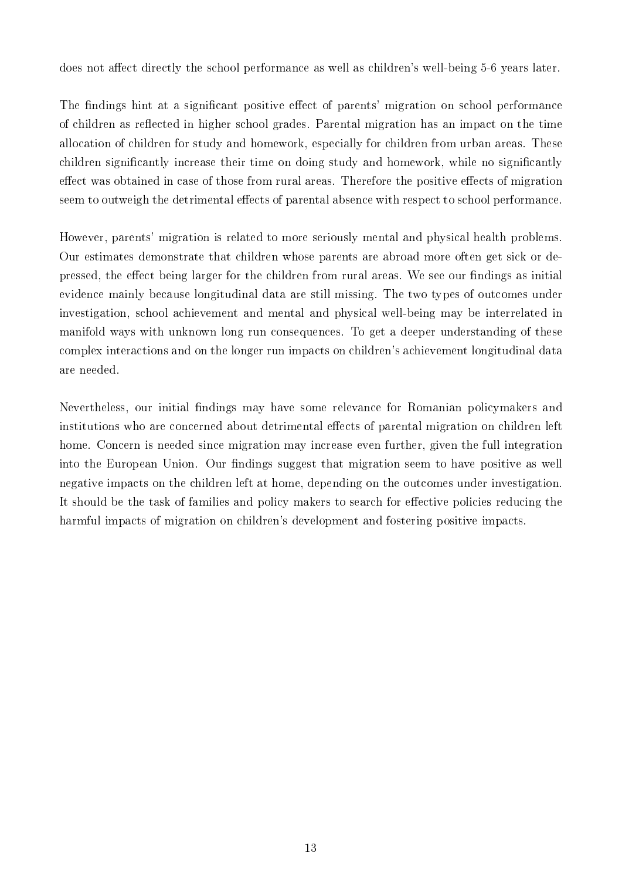does not affect directly the school performance as well as children's well-being 5-6 years later.

The findings hint at a significant positive effect of parents' migration on school performance of children as reflected in higher school grades. Parental migration has an impact on the time allocation of children for study and homework, especially for children from urban areas. These children signicantly increase their time on doing study and homework, while no signicantly effect was obtained in case of those from rural areas. Therefore the positive effects of migration seem to outweigh the detrimental effects of parental absence with respect to school performance.

However, parents' migration is related to more seriously mental and physical health problems. Our estimates demonstrate that children whose parents are abroad more often get sick or depressed, the effect being larger for the children from rural areas. We see our findings as initial evidence mainly because longitudinal data are still missing. The two types of outcomes under investigation, school achievement and mental and physical well-being may be interrelated in manifold ways with unknown long run consequences. To get a deeper understanding of these complex interactions and on the longer run impacts on children's achievement longitudinal data are needed.

Nevertheless, our initial findings may have some relevance for Romanian policymakers and institutions who are concerned about detrimental effects of parental migration on children left home. Concern is needed since migration may increase even further, given the full integration into the European Union. Our findings suggest that migration seem to have positive as well negative impacts on the children left at home, depending on the outcomes under investigation. It should be the task of families and policy makers to search for effective policies reducing the harmful impacts of migration on children's development and fostering positive impacts.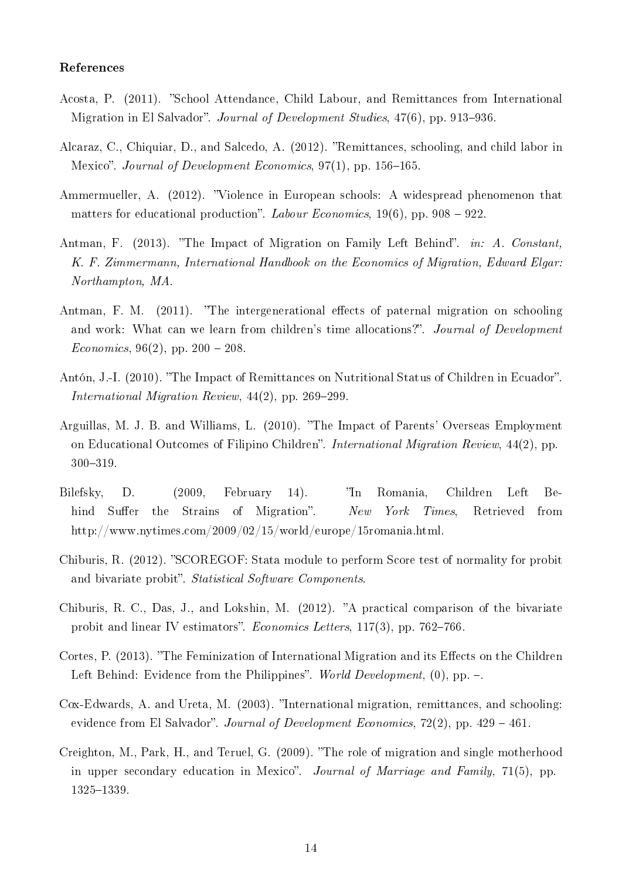#### References

- <span id="page-16-3"></span>Acosta, P. (2011). "School Attendance, Child Labour, and Remittances from International Migration in El Salvador". Journal of Development Studies, 47(6), pp. 913–936.
- <span id="page-16-1"></span>Alcaraz, C., Chiquiar, D., and Salcedo, A. (2012). "Remittances, schooling, and child labor in Mexico". Journal of Development Economics,  $97(1)$ , pp. 156-165.
- <span id="page-16-8"></span>Ammermueller, A. (2012). "Violence in European schools: A widespread phenomenon that matters for educational production". Labour Economics, 19(6), pp. 908 – 922.
- <span id="page-16-0"></span>Antman, F. (2013). "The Impact of Migration on Family Left Behind". in: A. Constant, K. F. Zimmermann, International Handbook on the Economics of Migration, Edward Elgar: Northampton, MA.
- <span id="page-16-12"></span>Antman, F. M.  $(2011)$ . "The intergenerational effects of paternal migration on schooling and work: What can we learn from children's time allocations?". Journal of Development *Economics*, 96(2), pp. 200 – 208.
- <span id="page-16-4"></span>Antón, J.-I. (2010). "The Impact of Remittances on Nutritional Status of Children in Ecuador". International Migration Review,  $44(2)$ , pp. 269–299.
- <span id="page-16-11"></span>Arguillas, M. J. B. and Williams, L. (2010). The Impact of Parents' Overseas Employment on Educational Outcomes of Filipino Children". International Migration Review, 44(2), pp. 300319.
- <span id="page-16-6"></span>Bilefsky, D. (2009, February 14). In Romania, Children Left Behind Suffer the Strains of Migration". New York Times, Retrieved from http://www.nytimes.com/2009/02/15/world/europe/15romania.html.
- <span id="page-16-10"></span>Chiburis, R. (2012). "SCOREGOF: Stata module to perform Score test of normality for probit and bivariate probit". Statistical Software Components.
- <span id="page-16-9"></span>Chiburis, R. C., Das, J., and Lokshin, M. (2012). "A practical comparison of the bivariate probit and linear IV estimators". Economics Letters,  $117(3)$ , pp. 762–766.
- <span id="page-16-5"></span>Cortes, P. (2013). "The Feminization of International Migration and its Effects on the Children Left Behind: Evidence from the Philippines". World Development,  $(0)$ , pp.  $-$ .
- <span id="page-16-2"></span>Cox-Edwards, A. and Ureta, M. (2003). "International migration, remittances, and schooling: evidence from El Salvador". Journal of Development Economics, 72(2), pp.  $429 - 461$ .
- <span id="page-16-7"></span>Creighton, M., Park, H., and Teruel, G. (2009). The role of migration and single motherhood in upper secondary education in Mexico". Journal of Marriage and Family, 71(5), pp. 1325-1339.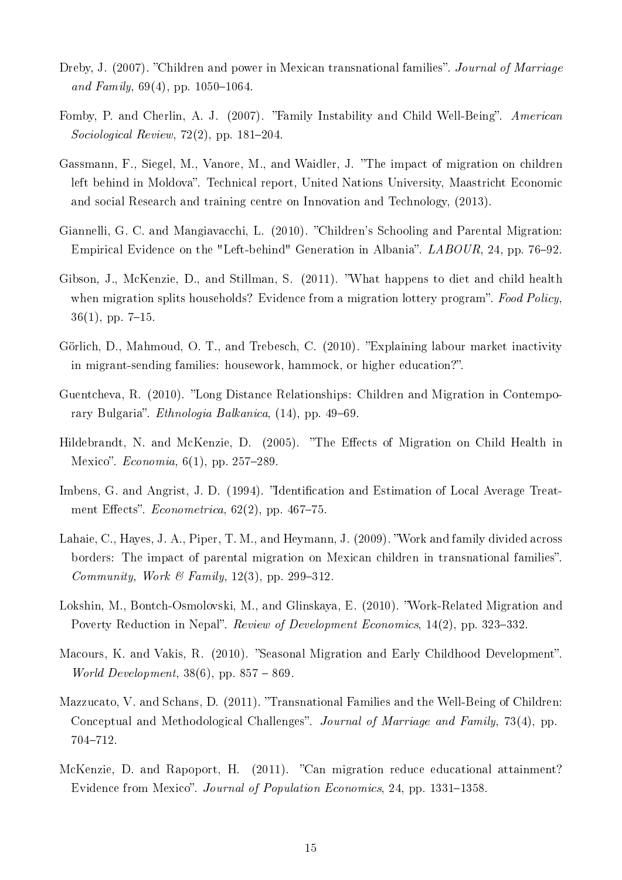- <span id="page-17-11"></span>Dreby, J. (2007). "Children and power in Mexican transnational families". Journal of Marriage and Family,  $69(4)$ , pp.  $1050-1064$ .
- <span id="page-17-8"></span>Fomby, P. and Cherlin, A. J. (2007). "Family Instability and Child Well-Being". American Sociological Review,  $72(2)$ , pp.  $181-204$ .
- <span id="page-17-3"></span>Gassmann, F., Siegel, M., Vanore, M., and Waidler, J. The impact of migration on children left behind in Moldova". Technical report, United Nations University, Maastricht Economic and social Research and training centre on Innovation and Technology, (2013).
- <span id="page-17-1"></span>Giannelli, G. C. and Mangiavacchi, L. (2010). Children's Schooling and Parental Migration: Empirical Evidence on the "Left-behind" Generation in Albania".  $LABOUR$ , 24, pp. 76–92.
- <span id="page-17-0"></span>Gibson, J., McKenzie, D., and Stillman, S. (2011). What happens to diet and child health when migration splits households? Evidence from a migration lottery program". Food Policy,  $36(1)$ , pp. 7-15.
- <span id="page-17-6"></span>Görlich, D., Mahmoud, O. T., and Trebesch, C. (2010). Explaining labour market inactivity in migrant-sending families: housework, hammock, or higher education?".
- <span id="page-17-7"></span>Guentcheva, R. (2010). "Long Distance Relationships: Children and Migration in Contemporary Bulgaria". *Ethnologia Balkanica*, (14), pp. 49–69.
- <span id="page-17-5"></span>Hildebrandt, N. and McKenzie, D. (2005). "The Effects of Migration on Child Health in Mexico".  $Economia, 6(1)$ , pp. 257–289.
- <span id="page-17-10"></span>Imbens, G. and Angrist, J. D. (1994). "Identification and Estimation of Local Average Treatment Effects". *Econometrica*,  $62(2)$ , pp.  $467-75$ .
- <span id="page-17-13"></span>Lahaie, C., Hayes, J. A., Piper, T. M., and Heymann, J. (2009). Work and family divided across borders: The impact of parental migration on Mexican children in transnational families". Community, Work & Family, 12(3), pp. 299-312.
- <span id="page-17-9"></span>Lokshin, M., Bontch-Osmolovski, M., and Glinskaya, E. (2010). "Work-Related Migration and Poverty Reduction in Nepal". Review of Development Economics, 14(2), pp. 323–332.
- <span id="page-17-4"></span>Macours, K. and Vakis, R. (2010). "Seasonal Migration and Early Childhood Development". *World Development*,  $38(6)$ , pp.  $857 - 869$ .
- <span id="page-17-12"></span>Mazzucato, V. and Schans, D. (2011). "Transnational Families and the Well-Being of Children: Conceptual and Methodological Challenges". Journal of Marriage and Family, 73(4), pp. 704-712.
- <span id="page-17-2"></span>McKenzie, D. and Rapoport, H. (2011). "Can migration reduce educational attainment? Evidence from Mexico". Journal of Population Economics, 24, pp. 1331–1358.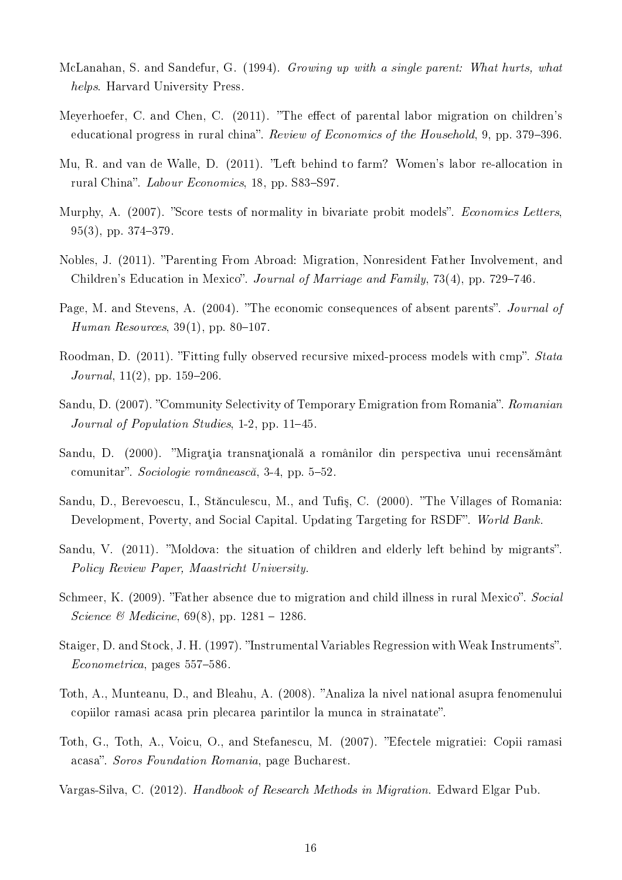- <span id="page-18-5"></span>McLanahan, S. and Sandefur, G. (1994). Growing up with a single parent: What hurts, what helps. Harvard University Press.
- <span id="page-18-0"></span>Meyerhoefer, C. and Chen, C. (2011). "The effect of parental labor migration on children's educational progress in rural china". Review of Economics of the Household, 9, pp. 379–396.
- <span id="page-18-1"></span>Mu, R. and van de Walle, D. (2011). "Left behind to farm? Women's labor re-allocation in rural China". Labour Economics, 18, pp. S83–S97.
- <span id="page-18-12"></span>Murphy, A. (2007). "Score tests of normality in bivariate probit models". Economics Letters,  $95(3)$ , pp.  $374-379$ .
- <span id="page-18-7"></span>Nobles, J. (2011). Parenting From Abroad: Migration, Nonresident Father Involvement, and Children's Education in Mexico". Journal of Marriage and Family, 73(4), pp. 729–746.
- <span id="page-18-6"></span>Page, M. and Stevens, A. (2004). "The economic consequences of absent parents". Journal of Human Resources,  $39(1)$ , pp.  $80-107$ .
- <span id="page-18-14"></span>Roodman, D. (2011). "Fitting fully observed recursive mixed-process models with cmp". Stata Journal,  $11(2)$ , pp.  $159-206$ .
- <span id="page-18-10"></span>Sandu, D. (2007). "Community Selectivity of Temporary Emigration from Romania". Romanian Journal of Population Studies,  $1-2$ , pp.  $11-45$ .
- <span id="page-18-11"></span>Sandu, D. (2000). "Migrația transnațională a românilor din perspectiva unui recensământ comunitar". Sociologie românească, 3-4, pp. 5–52.
- <span id="page-18-9"></span>Sandu, D., Berevoescu, I., Stănculescu, M., and Tufiș, C. (2000). "The Villages of Romania: Development, Poverty, and Social Capital. Updating Targeting for RSDF". World Bank.
- <span id="page-18-4"></span>Sandu, V. (2011). "Moldova: the situation of children and elderly left behind by migrants". Policy Review Paper, Maastricht University.
- <span id="page-18-8"></span>Schmeer, K. (2009). "Father absence due to migration and child illness in rural Mexico". Social *Science* & *Medicine*, 69(8), pp. 1281 – 1286.
- <span id="page-18-13"></span>Staiger, D. and Stock, J. H. (1997). "Instrumental Variables Regression with Weak Instruments".  $Econometrica$ , pages 557–586.
- <span id="page-18-2"></span>Toth, A., Munteanu, D., and Bleahu, A. (2008). "Analiza la nivel national asupra fenomenului copiilor ramasi acasa prin plecarea parintilor la munca in strainatate".
- <span id="page-18-3"></span>Toth, G., Toth, A., Voicu, O., and Stefanescu, M. (2007). "Efectele migratiei: Copii ramasi acasa". Soros Foundation Romania, page Bucharest.
- <span id="page-18-15"></span>Vargas-Silva, C. (2012). Handbook of Research Methods in Migration. Edward Elgar Pub.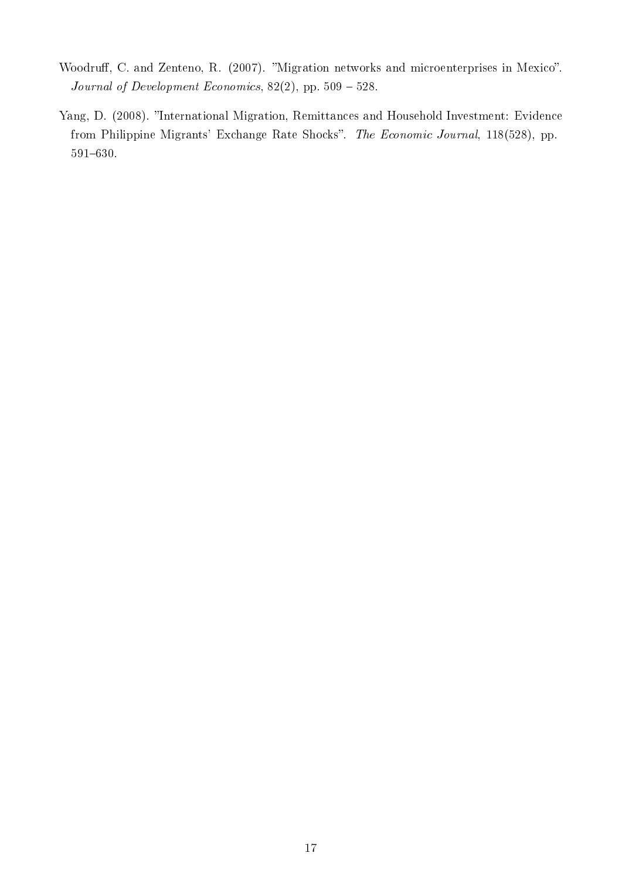- <span id="page-19-1"></span>Woodruff, C. and Zenteno, R. (2007). "Migration networks and microenterprises in Mexico". Journal of Development Economics,  $82(2)$ , pp.  $509 - 528$ .
- <span id="page-19-0"></span>Yang, D. (2008). "International Migration, Remittances and Household Investment: Evidence from Philippine Migrants' Exchange Rate Shocks". The Economic Journal, 118(528), pp. 591-630.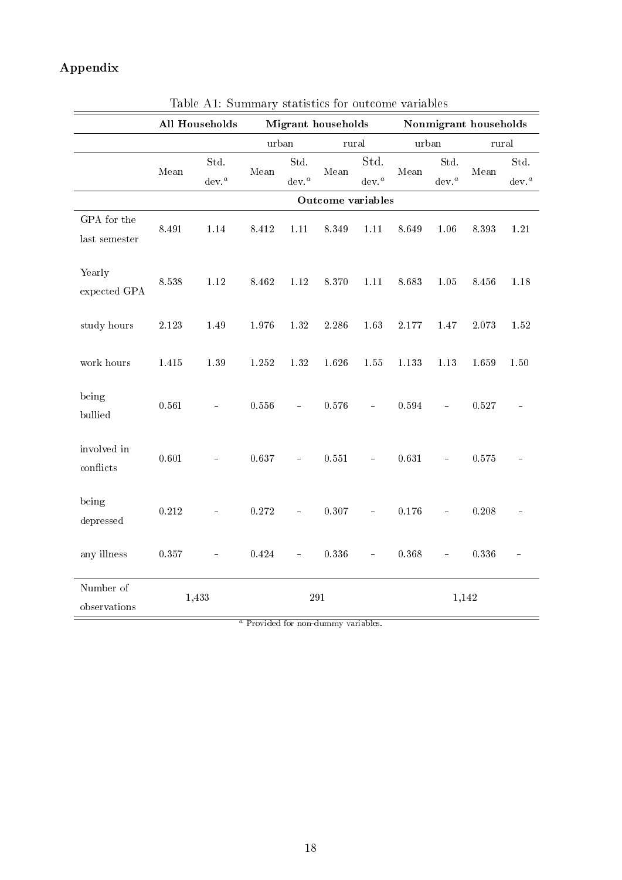### Appendix

|                              |           | rabic Arr. Dummary statistics for butcome variables<br><b>All Households</b> |                               |                          | <b>Migrant</b> households |                                        |                |                           | Nonmigrant households |                        |
|------------------------------|-----------|------------------------------------------------------------------------------|-------------------------------|--------------------------|---------------------------|----------------------------------------|----------------|---------------------------|-----------------------|------------------------|
|                              |           |                                                                              | $\bold{urban}$                |                          | rural                     |                                        | $\bold{urban}$ |                           | rural                 |                        |
|                              | Mean      | Std.<br>dev <sup>a</sup>                                                     | Mean                          | Std.<br>dev <sup>a</sup> | Mean                      | Std.<br>dev. <sup><math>a</math></sup> | Mean           | Std.<br>$\mathrm{dev.}^a$ | Mean                  | Std.<br>${\rm dev.}^a$ |
|                              |           |                                                                              |                               |                          | Outcome variables         |                                        |                |                           |                       |                        |
| GPA for the<br>last semester | 8.491     | $1.14\,$                                                                     | $8.412\,$                     | $1.11\,$                 | 8.349                     | $1.11\,$                               | 8.649          | 1.06                      | 8.393                 | 1.21                   |
| Yearly<br>expected GPA       | 8.538     | $1.12\,$                                                                     | 8.462                         | $1.12\,$                 | 8.370                     | $1.11\,$                               | 8.683          | $1.05\,$                  | 8.456                 | 1.18                   |
| study hours                  | $2.123\,$ | 1.49                                                                         | 1.976                         | 1.32                     | 2.286                     | 1.63                                   | 2.177          | 1.47                      | 2.073                 | 1.52                   |
| work hours                   | $1.415\,$ | $1.39\,$                                                                     | 1.252                         | 1.32                     | 1.626                     | 1.55                                   | 1.133          | $1.13\,$                  | 1.659                 | 1.50                   |
| being<br>$bulli$ ed          | 0.561     |                                                                              | 0.556                         | $\blacksquare$           | 0.576                     | $\overline{\phantom{0}}$               | 0.594          | ÷                         | 0.527                 |                        |
| involved in<br>conflicts     | 0.601     |                                                                              | 0.637                         |                          | 0.551                     | $\equiv$                               | 0.631          |                           | 0.575                 |                        |
| being<br>depressed           | 0.212     |                                                                              | $0.272\,$                     | $\overline{a}$           | 0.307                     | $\equiv$                               | 0.176          | $\equiv$                  | 0.208                 |                        |
| any illness                  | 0.357     |                                                                              | 0.424                         |                          | $0.336\,$                 |                                        | 0.368          |                           | 0.336                 |                        |
| Number of<br>observations    |           | 1,433                                                                        | $\overline{a}$ $\overline{b}$ |                          | 291                       |                                        |                |                           | 1,142                 |                        |

<span id="page-20-0"></span>Table A1: Summary statistics for outcome variables

<sup>a</sup> Provided for non-dummy variables.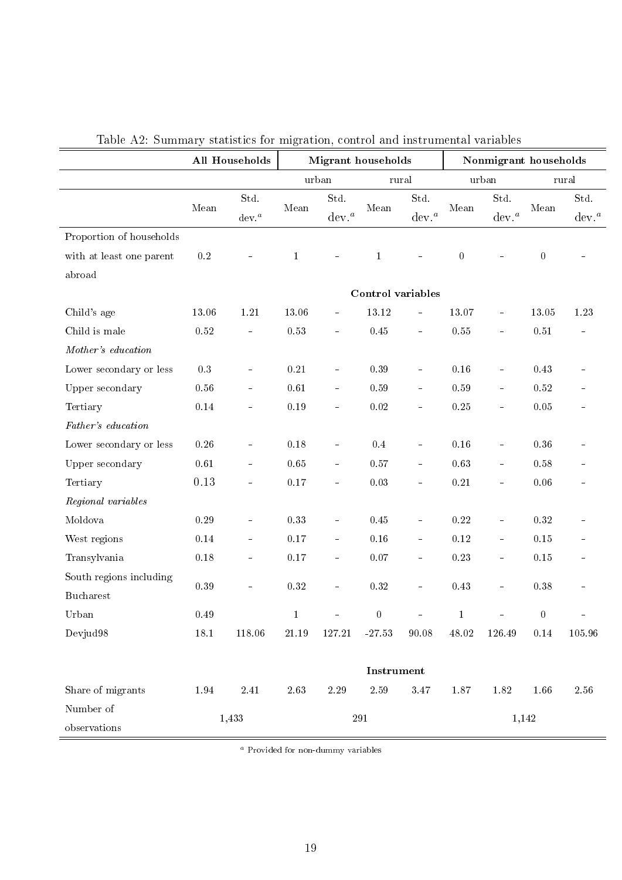|                          |           | <b>All Households</b>     |              | <b>Migrant</b> households |                   |                        |                  | Nonmigrant households     |                |                           |
|--------------------------|-----------|---------------------------|--------------|---------------------------|-------------------|------------------------|------------------|---------------------------|----------------|---------------------------|
|                          |           |                           |              | urban                     | $_{\rm{rural}}$   |                        |                  | urban                     |                | rural                     |
|                          | Mean      | Std.<br>$\mathrm{dev.}^a$ | Mean         | Std.<br>dev. <sup>a</sup> | Mean              | Std.<br>${\rm dev.}^a$ | Mean             | Std.<br>dev. <sup>a</sup> | Mean           | Std.<br>dev. <sup>a</sup> |
| Proportion of households |           |                           |              |                           |                   |                        |                  |                           |                |                           |
| with at least one parent | $\rm 0.2$ |                           | $\mathbf{1}$ |                           | $\mathbf 1$       |                        | $\boldsymbol{0}$ |                           | $\overline{0}$ |                           |
| abroad                   |           |                           |              |                           |                   |                        |                  |                           |                |                           |
|                          |           |                           |              |                           | Control variables |                        |                  |                           |                |                           |
| Child's age              | 13.06     | $1.21\,$                  | 13.06        | $\blacksquare$            | 13.12             | $\blacksquare$         | 13.07            | $\equiv$                  | 13.05          | 1.23                      |
| Child is male            | $0.52\,$  | ÷                         | $0.53\,$     | ÷                         | $0.45\,$          | ÷                      | $0.55\,$         | $\equiv$                  | 0.51           |                           |
| Mother's education       |           |                           |              |                           |                   |                        |                  |                           |                |                           |
| Lower secondary or less  | $\rm 0.3$ | ÷                         | $\rm 0.21$   |                           | 0.39              | $\blacksquare$         | 0.16             | $\blacksquare$            | 0.43           |                           |
| Upper secondary          | $0.56\,$  | ÷                         | $0.61\,$     | ÷                         | $0.59\,$          | $\equiv$               | 0.59             | $\blacksquare$            | 0.52           |                           |
| Tertiary                 | $0.14\,$  | ÷                         | $0.19\,$     | $\blacksquare$            | $0.02\,$          | ÷                      | $0.25\,$         | $\blacksquare$            | 0.05           |                           |
| Father's education       |           |                           |              |                           |                   |                        |                  |                           |                |                           |
| Lower secondary or less  | $0.26\,$  |                           | 0.18         |                           | 0.4               | $\blacksquare$         | 0.16             | ÷                         | $0.36\,$       |                           |
| Upper secondary          | 0.61      | $\frac{1}{2}$             | 0.65         | $\blacksquare$            | 0.57              | $\blacksquare$         | $0.63\,$         | $\blacksquare$            | 0.58           |                           |
| Tertiary                 | 0.13      | ÷                         | $0.17\,$     | $\blacksquare$            | 0.03              | ÷                      | $0.21\,$         | $\blacksquare$            | $0.06\,$       |                           |
| Regional variables       |           |                           |              |                           |                   |                        |                  |                           |                |                           |
| Moldova                  | $0.29\,$  |                           | $0.33\,$     |                           | $0.45\,$          | $\blacksquare$         | $0.22\,$         | $\blacksquare$            | $0.32\,$       |                           |
| West regions             | 0.14      | ÷,                        | $0.17\,$     | $\frac{1}{2}$             | 0.16              | $\blacksquare$         | $0.12\,$         | $\blacksquare$            | 0.15           |                           |
| Transylvania             | 0.18      |                           | $0.17\,$     | $\overline{\phantom{0}}$  | 0.07              | ÷                      | $0.23\,$         | ÷                         | 0.15           |                           |
| South regions including  |           |                           |              |                           |                   |                        |                  |                           |                |                           |
| <b>Bucharest</b>         | 0.39      |                           | 0.32         | $\blacksquare$            | $0.32\,$          | $\equiv$               | 0.43             | $\blacksquare$            | 0.38           |                           |
| Urban                    | $0.49\,$  |                           | $\mathbf{1}$ |                           | $\boldsymbol{0}$  |                        | $\mathbf{1}$     |                           | $\theta$       |                           |
| Devjud98                 | 18.1      | 118.06                    | 21.19        | 127.21                    | $-27.53$          | 90.08                  | 48.02            | 126.49                    | 0.14           | 105.96                    |
|                          |           |                           |              |                           |                   |                        |                  |                           |                |                           |
|                          |           |                           |              |                           | Instrument        |                        |                  |                           |                |                           |
| Share of migrants        | 1.94      | $2.41\,$                  | 2.63         | $2.29\,$                  | $2.59\,$          | 3.47                   | 1.87             | 1.82                      | 1.66           | $2.56\,$                  |
| Number of                |           | 1,433                     |              |                           | $\bf 291$         |                        |                  | 1,142                     |                |                           |
| observations             |           |                           |              |                           |                   |                        |                  |                           |                |                           |

<span id="page-21-0"></span>Table A2: Summary statistics for migration, control and instrumental variables

<sup>a</sup> Provided for non-dummy variables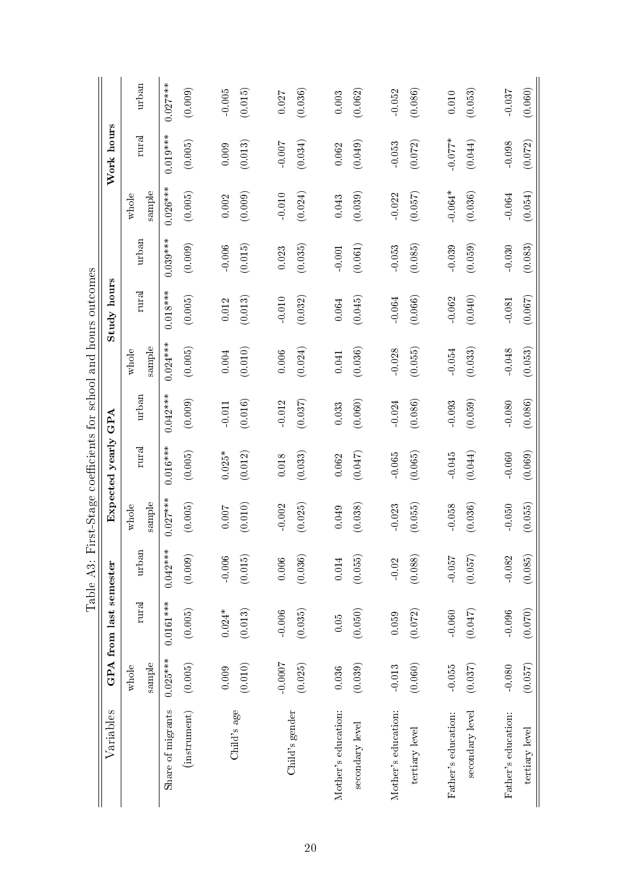|                        | urban                                   | $0.027***$        | (0.009)            | $-0.005$   | (0.015)     | 0.027     | (0.036)        | 0.003               | (0.062)         | $-0.052$            | (0.086)        | $0.010\,$           | (0.053)         | $-0.037$            | (0.060)        |
|------------------------|-----------------------------------------|-------------------|--------------------|------------|-------------|-----------|----------------|---------------------|-----------------|---------------------|----------------|---------------------|-----------------|---------------------|----------------|
| Work hours             | rural                                   | $0.019***$        | (0.005)            | 0.009      | (0.013)     | $-0.007$  | (0.034)        | 0.062               | (0.049)         | $-0.053$            | (0.072)        | $-0.077*$           | (0.044)         | $-0.098$            | (0.072)        |
|                        | sample<br>whole                         | $0.026***$        | (0.005)            | $0.002\,$  | (0.009)     | $-0.010$  | (0.024)        | 0.043               | (0.039)         | $-0.022$            | (0.057)        | $-0.064*$           | (0.036)         | $-0.064$            | (0.054)        |
|                        | urban                                   | $0.039***$        | (0.009)            | $-0.006$   | (0.015)     | 0.023     | (0.035)        | $-0.001$            | (0.061)         | $-0.053$            | (0.085)        | $-0.039$            | (0.059)         | $-0.030$            | (0.083)        |
| Study hours            | $_{\rm rural}$                          | $0.018***$        | (0.005)            | $0.012\,$  | (0.013)     | $-0.010$  | (0.032)        | 0.064               | (0.045)         | $-0.064$            | (0.066)        | $-0.062$            | (0.040)         | $-0.081$            | (0.067)        |
|                        | sample<br>whole                         | $0.024***$        | (0.005)            | 0.004      | (0.010)     | $0.006$   | (0.024)        | $0.041\,$           | (0.036)         | $-0.028$            | (0.055)        | $-0.054$            | (0.033)         | $-0.048$            | (0.053)        |
| GPA                    | urban                                   | $0.042***$        | (0.009)            | $-0.011\,$ | (0.016)     | $-0.012$  | (0.037)        | 0.033               | (0.060)         | $-0.024$            | (0.086)        | $-0.093$            | (0.059)         | $-0.080$            | (0.086)        |
| Expected yearly        | rural                                   | $0.016***$        | (0.005)            | $0.025*$   | (0.012)     | $0.018\,$ | (0.033)        | 0.062               | (0.047)         | $-0.065$            | (0.065)        | $-0.045$            | (0.044)         | $-0.060$            | (0.069)        |
|                        | $\ensuremath{\mathsf{sample}}$<br>whole | $0.027***$        | (0.005)            | 0.007      | (0.010)     | $-0.002$  | (0.025)        | 0.049               | (0.038)         | $-0.023$            | (0.055)        | $-0.058$            | (0.036)         | $-0.050$            | (0.055)        |
|                        | urban                                   | $0.042***$        | (0.009)            | $-0.006$   | (0.015)     | $0.006\,$ | (0.036)        | $\rm 0.014$         | (0.055)         | $-0.02$             | (0.088)        | $-0.057$            | (0.057)         | $-0.082$            | (0.085)        |
| GPA from last semester | rural                                   | $0.0161***$       | (0.005)            | $0.024*$   | (0.013)     | $-0.006$  | (0.035)        | $0.05\,$            | (0.050)         | 0.059               | (0.072)        | $-0.060$            | (0.047)         | $-0.096$            | (0.070)        |
|                        | sample<br>whole                         | $0.025***$        | (0.005)            | 0.009      | (0.010)     | $-0.0007$ | (0.025)        | 0.036               | (0.039)         | $-0.013$            | (0.060)        | $\,0.055$           | (0.037)         | $-0.080$            | (0.057)        |
| Variables              |                                         | Share of migrants | $($ instrument $)$ |            | Child's age |           | Child's gender | Mother's education: | secondary level | Mother's education: | tertiary level | Father's education: | secondary level | Father's education: | tertiary level |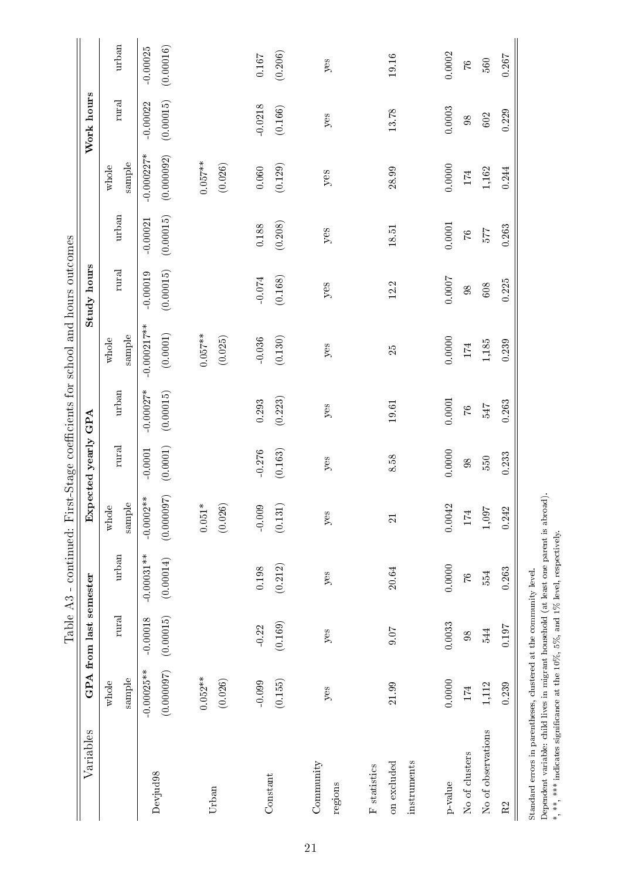|                                                                    |                           |                         |                           |                           |                       |                          | Table A3 - continued: First-Stage coefficients for school and hours outcomes |                         |                         |                            |                         |                         |
|--------------------------------------------------------------------|---------------------------|-------------------------|---------------------------|---------------------------|-----------------------|--------------------------|------------------------------------------------------------------------------|-------------------------|-------------------------|----------------------------|-------------------------|-------------------------|
| Variables                                                          |                           | GPA from last semester  |                           |                           | Expected yearly GPA   |                          |                                                                              | Study hours             |                         |                            | Work hours              |                         |
|                                                                    | sample<br>whole           | $_{\rm{rural}}$         | urban                     | sample<br>whole           | rural                 | urban                    | sample<br>whole                                                              | rural                   | urban                   | sample<br>whole            | rural                   | urban                   |
| Devjud <sub>98</sub>                                               | (0.00007)<br>$-0.00025**$ | (0.00015)<br>$-0.00018$ | $-0.00031**$<br>(0.00014) | (0.000097)<br>$-0.0002**$ | (0.0001)<br>$-0.0001$ | $-0.00027*$<br>(0.00015) | $-0.000217***$<br>$\left( 0.0001\right)$                                     | (0.00015)<br>$-0.00019$ | (0.00015)<br>$-0.00021$ | $-0.000227*$<br>(0.000092) | (0.00015)<br>$-0.00022$ | (0.00016)<br>$-0.00025$ |
| Urban                                                              | $0.052**$<br>(0.026)      |                         |                           | $0.051*$<br>(0.026)       |                       |                          | $0.057***$<br>(0.025)                                                        |                         |                         | $0.057***$<br>(0.026)      |                         |                         |
| Constant                                                           | (0.155)<br>$-0.099$       | (0.169)<br>$-0.22$      | (0.212)<br>0.198          | $-0.009$<br>(0.131)       | $-0.276$<br>(0.163)   | (0.223)<br>0.293         | (0.130)<br>$-0.036$                                                          | (0.168)<br>$-0.074$     | (0.208)<br>0.188        | (0.129)<br>0.060           | $-0.0218$<br>(0.166)    | (0.206)<br>$0.167\,$    |
| Community<br>regions                                               | yes                       | yes                     | yes                       | yes                       | yes                   | yes                      | $y$ es                                                                       | yes                     | yes                     | yes                        | yes                     | $y$ es                  |
| instruments<br>on excluded<br>$\boldsymbol{\mathsf{F}}$ statistics | 21.99                     | 0.07                    | 20.64                     | $\overline{\Omega}$       | 8.58                  | 19.61                    | $\mathbb{Z}^2$                                                               | 12.2                    | 18.51                   | 28.99                      | 13.78                   | 19.16                   |
| No of clusters<br>p-value                                          | 0.0000<br>174             | 0.0033<br>98            | 0.0000<br>76              | 0.0042<br>174             | 0.0000<br>$\infty$    | $0.0001\,$<br>$\sqrt{6}$ | 0.0000<br>$174\,$                                                            | 0.0007<br>$98\,$        | 0.0001<br>$\mathcal{L}$ | 0.0000<br>$174\,$          | 0.0003<br>98            | 0.0002<br>$\mathcal{U}$ |
| No of observations<br>$\rm R2$                                     | 0.239<br>1,112            | 0.197<br>544            | 0.263<br>554              | 1,097<br>0.242            | 0.233<br>550          | 0.263<br>7F9             | $1,\!185$<br>0.239                                                           | 0.225<br>$608\,$        | 0.263<br>$2\angle 2$    | $1,\!162$<br>0.244         | 0.229<br>602            | 0.267<br>$560\,$        |
| Standard errors in parentheses, clustered at the community level.  |                           |                         |                           |                           |                       |                          |                                                                              |                         |                         |                            |                         |                         |

Standard errors in parentheses, clustered at the community level.<br>Dependent variable: child lives in migrant household (at least one parent is abroad).<br>\*, \*\*, \*\*\* indicates significance at the 10%, 5%, and 1% level, respe Dependent variable: child lives in migrant household (at least one parent is abroad). \*, \*\*, \*\*\* indicates signicance at the 10%, 5%, and 1% level, respectively.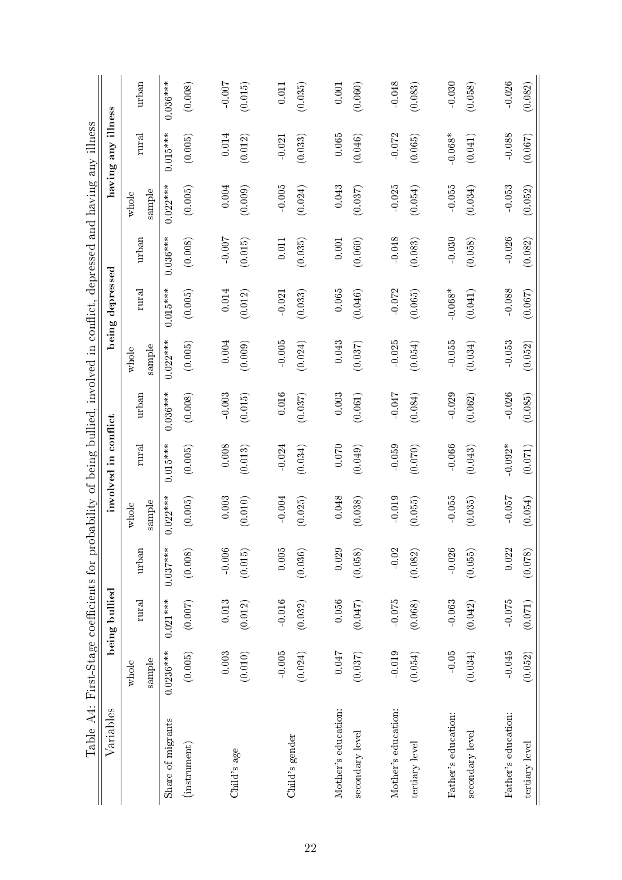|                                                                                    | illness              | urban           | $0.036***$        | (0.008)      | $-0.007$ | (0.015)     | 0.011    | (0.035)        | 0.001               | (0.060)         | $-0.048$            | (0.083)        | $-0.030$            | (0.058)         | $-0.026$            | (0.082)        |
|------------------------------------------------------------------------------------|----------------------|-----------------|-------------------|--------------|----------|-------------|----------|----------------|---------------------|-----------------|---------------------|----------------|---------------------|-----------------|---------------------|----------------|
| obability of being bullied, involved in conflict, depressed and having any illness | any                  | rural           | $0.015***$        | (0.005)      | 0.014    | (0.012)     | $-0.021$ | (0.033)        | 0.065               | (0.046)         | $-0.072$            | (0.065)        | $-0.068*$           | (0.041)         | $-0.088$            | (0.067)        |
|                                                                                    | having               | sample<br>whole | $0.022***$        | (0.005)      | 0.004    | (0.009)     | $-0.005$ | (0.024)        | 0.043               | (0.037)         | $-0.025$            | (0.054)        | $-0.055$            | (0.034)         | $-0.053$            | (0.052)        |
|                                                                                    |                      | urban           | $0.036***$        | (0.008)      | $-0.007$ | (0.015)     | 0.011    | (0.035)        | 0.001               | (0.060)         | $-0.048$            | (0.083)        | $-0.030$            | (0.058)         | $-0.026$            | (0.082)        |
|                                                                                    | being depressed      | rural           | $0.015***$        | (0.005)      | 0.014    | (0.012)     | $-0.021$ | (0.033)        | 0.065               | (0.046)         | $-0.072$            | (0.065)        | $-0.068*$           | (0.041)         | $-0.088$            | (0.067)        |
|                                                                                    |                      | sample<br>whole | $0.022***$        | (0.005)      | 0.004    | (0.009)     | $-0.005$ | (0.024)        | 0.043               | (0.037)         | $-0.025$            | (0.054)        | $-0.055$            | (0.034)         | $-0.053$            | (0.052)        |
|                                                                                    |                      | urban           | $0.036***$        | (0.008)      | $-0.003$ | (0.015)     | 0.016    | (0.037)        | 0.003               | (0.061)         | $-0.047$            | (0.084)        | $-0.029$            | (0.062)         | $-0.026$            | (0.085)        |
|                                                                                    | involved in conflict | rural           | $0.015***$        | (0.005)      | 0.008    | (0.013)     | $-0.024$ | (0.034)        | 0.070               | (0.049)         | $-0.059$            | (0.070)        | $-0.066$            | (0.043)         | $-0.092*$           | (0.071)        |
|                                                                                    |                      | sample<br>whole | $0.022***$        | (0.005)      | 0.003    | (0.010)     | $-0.004$ | (0.025)        | 0.048               | (0.038)         | $-0.019$            | (0.055)        | $-0.055$            | (0.035)         | $-0.057$            | (0.054)        |
|                                                                                    |                      | urban           | $0.037***$        | (0.008)      | $-0.006$ | (0.015)     | $0.005$  | (0.036)        | 0.029               | (0.058)         | $-0.02$             | (0.082)        | $-0.026$            | (0.055)         | 0.022               | (0.078)        |
|                                                                                    | being bullied        | rural           | $0.021***$        | (0.007)      | 0.013    | (0.012)     | $-0.016$ | (0.032)        | 0.056               | (0.047)         | $-0.075$            | (0.068)        | $-0.063$            | (0.042)         | $-0.075$            | (0.071)        |
|                                                                                    |                      | sample<br>whole | $0.0236***$       | (0.005)      | 0.003    | (0.010)     | $-0.005$ | (0.024)        | 0.047               | (0.037)         | $-0.019$            | (0.054)        | $-0.05$             | (0.034)         | $-0.045$            | (0.052)        |
| Table A4: First-Stage coefficients for pr                                          | Variables            |                 | Share of migrants | (instrument) |          | Child's age |          | Child's gender | Mother's education: | secondary level | Mother's education: | tertiary level | Father's education: | secondary level | Father's education: | tertiary level |